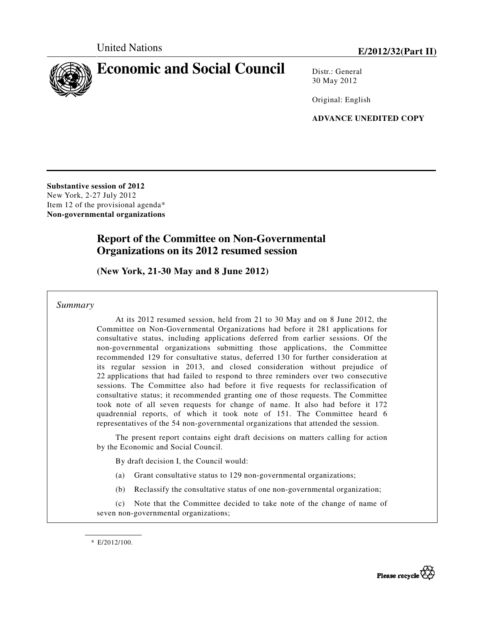

Distr · General 30 May 2012

Original: English

**ADVANCE UNEDITED COPY** 

**Substantive session of 2012**  New York, 2-27 July 2012 Item 12 of the provisional agenda\* **Non-governmental organizations** 

# **Report of the Committee on Non-Governmental Organizations on its 2012 resumed session**

 **(New York, 21-30 May and 8 June 2012)** 

 *Summary* 

 At its 2012 resumed session, held from 21 to 30 May and on 8 June 2012, the Committee on Non-Governmental Organizations had before it 281 applications for consultative status, including applications deferred from earlier sessions. Of the non-governmental organizations submitting those applications, the Committee recommended 129 for consultative status, deferred 130 for further consideration at its regular session in 2013, and closed consideration without prejudice of 22 applications that had failed to respond to three reminders over two consecutive sessions. The Committee also had before it five requests for reclassification of consultative status; it recommended granting one of those requests. The Committee took note of all seven requests for change of name. It also had before it 172 quadrennial reports, of which it took note of 151. The Committee heard 6 representatives of the 54 non-governmental organizations that attended the session.

 The present report contains eight draft decisions on matters calling for action by the Economic and Social Council.

By draft decision I, the Council would:

- (a) Grant consultative status to 129 non-governmental organizations;
- (b) Reclassify the consultative status of one non-governmental organization;

 (c) Note that the Committee decided to take note of the change of name of seven non-governmental organizations;

\* E/2012/100.

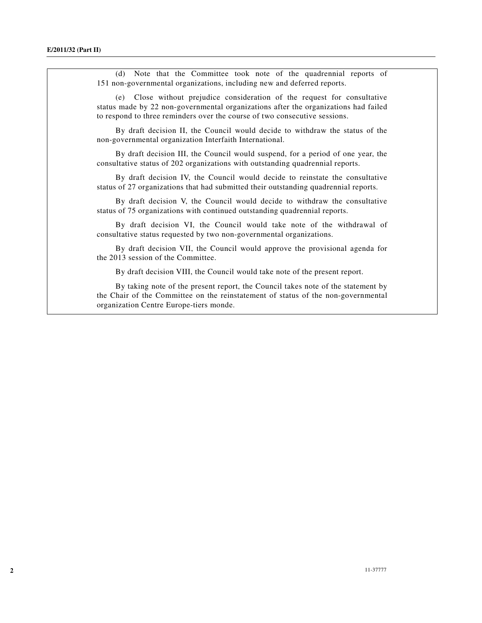(d) Note that the Committee took note of the quadrennial reports of 151 non-governmental organizations, including new and deferred reports.

 (e) Close without prejudice consideration of the request for consultative status made by 22 non-governmental organizations after the organizations had failed to respond to three reminders over the course of two consecutive sessions.

 By draft decision II, the Council would decide to withdraw the status of the non-governmental organization Interfaith International.

 By draft decision III, the Council would suspend, for a period of one year, the consultative status of 202 organizations with outstanding quadrennial reports.

 By draft decision IV, the Council would decide to reinstate the consultative status of 27 organizations that had submitted their outstanding quadrennial reports.

 By draft decision V, the Council would decide to withdraw the consultative status of 75 organizations with continued outstanding quadrennial reports.

 By draft decision VI, the Council would take note of the withdrawal of consultative status requested by two non-governmental organizations.

 By draft decision VII, the Council would approve the provisional agenda for the 2013 session of the Committee.

By draft decision VIII, the Council would take note of the present report.

 By taking note of the present report, the Council takes note of the statement by the Chair of the Committee on the reinstatement of status of the non-governmental organization Centre Europe-tiers monde.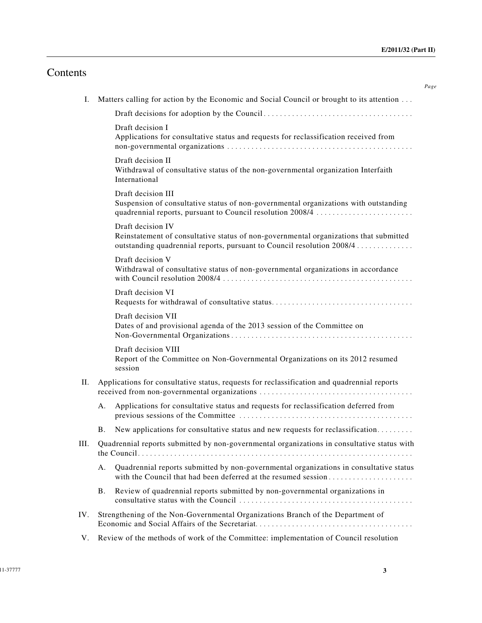*Page*

# Contents

| Ι.  | Matters calling for action by the Economic and Social Council or brought to its attention        |                                                                                                                                                                                      |  |
|-----|--------------------------------------------------------------------------------------------------|--------------------------------------------------------------------------------------------------------------------------------------------------------------------------------------|--|
|     |                                                                                                  |                                                                                                                                                                                      |  |
|     |                                                                                                  | Draft decision I<br>Applications for consultative status and requests for reclassification received from                                                                             |  |
|     |                                                                                                  | Draft decision II<br>Withdrawal of consultative status of the non-governmental organization Interfaith<br>International                                                              |  |
|     |                                                                                                  | Draft decision III<br>Suspension of consultative status of non-governmental organizations with outstanding<br>quadrennial reports, pursuant to Council resolution 2008/4             |  |
|     |                                                                                                  | Draft decision IV<br>Reinstatement of consultative status of non-governmental organizations that submitted<br>outstanding quadrennial reports, pursuant to Council resolution 2008/4 |  |
|     |                                                                                                  | Draft decision V<br>Withdrawal of consultative status of non-governmental organizations in accordance                                                                                |  |
|     |                                                                                                  | Draft decision VI                                                                                                                                                                    |  |
|     |                                                                                                  | Draft decision VII<br>Dates of and provisional agenda of the 2013 session of the Committee on                                                                                        |  |
|     |                                                                                                  | Draft decision VIII<br>Report of the Committee on Non-Governmental Organizations on its 2012 resumed<br>session                                                                      |  |
| II. |                                                                                                  | Applications for consultative status, requests for reclassification and quadrennial reports                                                                                          |  |
|     | А.                                                                                               | Applications for consultative status and requests for reclassification deferred from                                                                                                 |  |
|     | <b>B.</b>                                                                                        | New applications for consultative status and new requests for reclassification                                                                                                       |  |
|     | III. Quadrennial reports submitted by non-governmental organizations in consultative status with |                                                                                                                                                                                      |  |
|     | А.                                                                                               | Quadrennial reports submitted by non-governmental organizations in consultative status<br>with the Council that had been deferred at the resumed session                             |  |
|     | Β.                                                                                               | Review of quadrennial reports submitted by non-governmental organizations in                                                                                                         |  |
| IV. | Strengthening of the Non-Governmental Organizations Branch of the Department of                  |                                                                                                                                                                                      |  |
| V.  | Review of the methods of work of the Committee: implementation of Council resolution             |                                                                                                                                                                                      |  |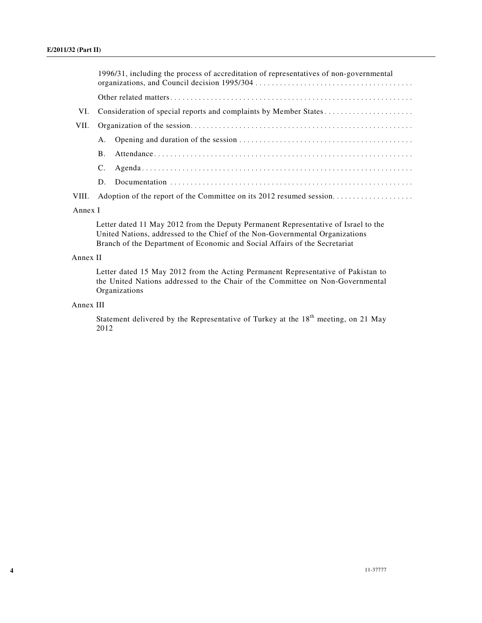|       | 1996/31, including the process of accreditation of representatives of non-governmental |                                                                  |  |
|-------|----------------------------------------------------------------------------------------|------------------------------------------------------------------|--|
|       |                                                                                        |                                                                  |  |
| VI.   |                                                                                        | Consideration of special reports and complaints by Member States |  |
| VII.  |                                                                                        |                                                                  |  |
|       |                                                                                        |                                                                  |  |
|       |                                                                                        |                                                                  |  |
|       |                                                                                        |                                                                  |  |
|       |                                                                                        |                                                                  |  |
| VIII. |                                                                                        |                                                                  |  |
|       |                                                                                        |                                                                  |  |

## Annex I

Letter dated 11 May 2012 from the Deputy Permanent Representative of Israel to the United Nations, addressed to the Chief of the Non-Governmental Organizations Branch of the Department of Economic and Social Affairs of the Secretariat

## Annex II

Letter dated 15 May 2012 from the Acting Permanent Representative of Pakistan to the United Nations addressed to the Chair of the Committee on Non-Governmental Organizations

## Annex III

Statement delivered by the Representative of Turkey at the  $18<sup>th</sup>$  meeting, on 21 May 2012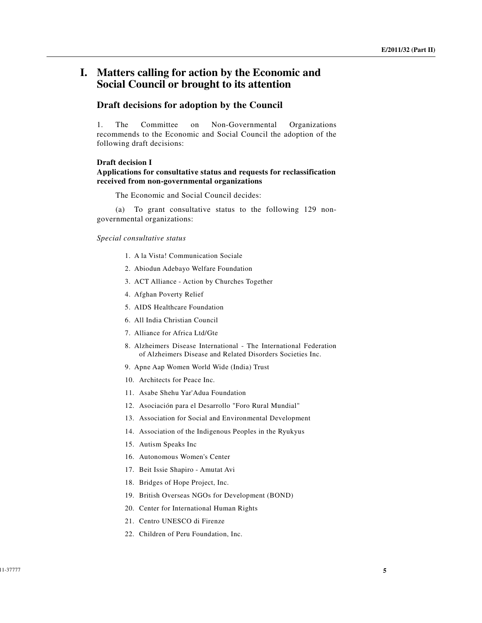# **I. Matters calling for action by the Economic and Social Council or brought to its attention**

## **Draft decisions for adoption by the Council**

1. The Committee on Non-Governmental Organizations recommends to the Economic and Social Council the adoption of the following draft decisions:

#### **Draft decision I**

## **Applications for consultative status and requests for reclassification received from non-governmental organizations**

The Economic and Social Council decides:

 (a) To grant consultative status to the following 129 nongovernmental organizations:

#### *Special consultative status*

- 1. A la Vista! Communication Sociale
- 2. Abiodun Adebayo Welfare Foundation
- 3. ACT Alliance Action by Churches Together
- 4. Afghan Poverty Relief
- 5. AIDS Healthcare Foundation
- 6. All India Christian Council
- 7. Alliance for Africa Ltd/Gte
- 8. Alzheimers Disease International The International Federation of Alzheimers Disease and Related Disorders Societies Inc.
- 9. Apne Aap Women World Wide (India) Trust
- 10. Architects for Peace Inc.
- 11. Asabe Shehu Yar'Adua Foundation
- 12. Asociación para el Desarrollo "Foro Rural Mundial"
- 13. Association for Social and Environmental Development
- 14. Association of the Indigenous Peoples in the Ryukyus
- 15. Autism Speaks Inc
- 16. Autonomous Women's Center
- 17. Beit Issie Shapiro Amutat Avi
- 18. Bridges of Hope Project, Inc.
- 19. British Overseas NGOs for Development (BOND)
- 20. Center for International Human Rights
- 21. Centro UNESCO di Firenze
- 22. Children of Peru Foundation, Inc.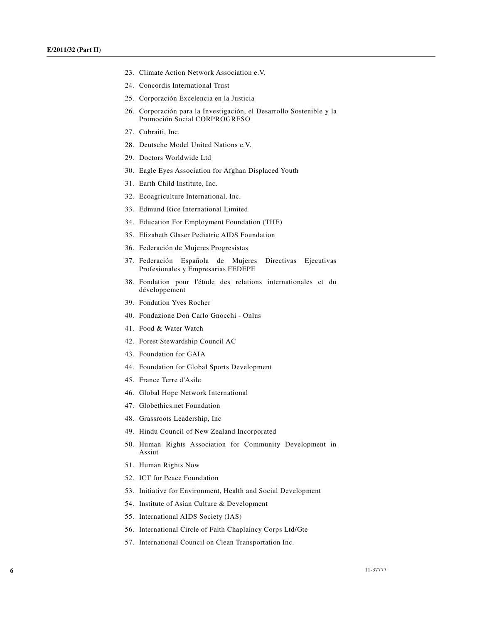- 23. Climate Action Network Association e.V.
- 24. Concordis International Trust
- 25. Corporación Excelencia en la Justicia
- 26. Corporación para la Investigación, el Desarrollo Sostenible y la Promoción Social CORPROGRESO
- 27. Cubraiti, Inc.
- 28. Deutsche Model United Nations e.V.
- 29. Doctors Worldwide Ltd
- 30. Eagle Eyes Association for Afghan Displaced Youth
- 31. Earth Child Institute, Inc.
- 32. Ecoagriculture International, Inc.
- 33. Edmund Rice International Limited
- 34. Education For Employment Foundation (THE)
- 35. Elizabeth Glaser Pediatric AIDS Foundation
- 36. Federación de Mujeres Progresistas
- 37. Federación Española de Mujeres Directivas Ejecutivas Profesionales y Empresarias FEDEPE
- 38. Fondation pour l'étude des relations internationales et du développement
- 39. Fondation Yves Rocher
- 40. Fondazione Don Carlo Gnocchi Onlus
- 41. Food & Water Watch
- 42. Forest Stewardship Council AC
- 43. Foundation for GAIA
- 44. Foundation for Global Sports Development
- 45. France Terre d'Asile
- 46. Global Hope Network International
- 47. Globethics.net Foundation
- 48. Grassroots Leadership, Inc
- 49. Hindu Council of New Zealand Incorporated
- 50. Human Rights Association for Community Development in Assiut
- 51. Human Rights Now
- 52. ICT for Peace Foundation
- 53. Initiative for Environment, Health and Social Development
- 54. Institute of Asian Culture & Development
- 55. International AIDS Society (IAS)
- 56. International Circle of Faith Chaplaincy Corps Ltd/Gte
- 57. International Council on Clean Transportation Inc.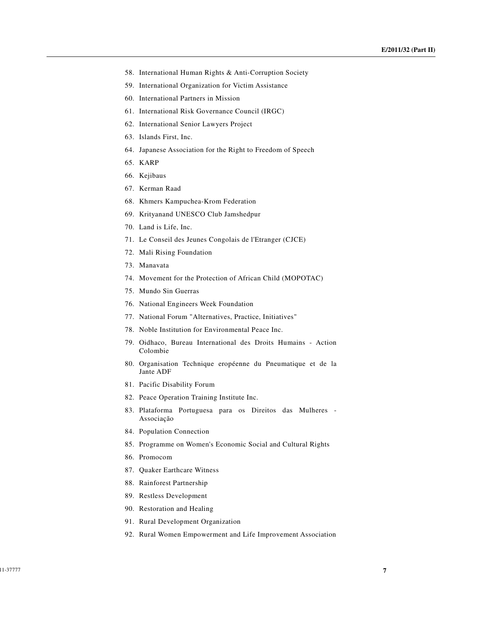- 58. International Human Rights & Anti-Corruption Society
- 59. International Organization for Victim Assistance
- 60. International Partners in Mission
- 61. International Risk Governance Council (IRGC)
- 62. International Senior Lawyers Project
- 63. Islands First, Inc.
- 64. Japanese Association for the Right to Freedom of Speech
- 65. KARP
- 66. Kejibaus
- 67. Kerman Raad
- 68. Khmers Kampuchea-Krom Federation
- 69. Krityanand UNESCO Club Jamshedpur
- 70. Land is Life, Inc.
- 71. Le Conseil des Jeunes Congolais de l'Etranger (CJCE)
- 72. Mali Rising Foundation
- 73. Manavata
- 74. Movement for the Protection of African Child (MOPOTAC)
- 75. Mundo Sin Guerras
- 76. National Engineers Week Foundation
- 77. National Forum "Alternatives, Practice, Initiatives"
- 78. Noble Institution for Environmental Peace Inc.
- 79. Oidhaco, Bureau International des Droits Humains Action Colombie
- 80. Organisation Technique eropéenne du Pneumatique et de la Jante ADF
- 81. Pacific Disability Forum
- 82. Peace Operation Training Institute Inc.
- 83. Plataforma Portuguesa para os Direitos das Mulheres Associação
- 84. Population Connection
- 85. Programme on Women's Economic Social and Cultural Rights
- 86. Promocom
- 87. Quaker Earthcare Witness
- 88. Rainforest Partnership
- 89. Restless Development
- 90. Restoration and Healing
- 91. Rural Development Organization
- 92. Rural Women Empowerment and Life Improvement Association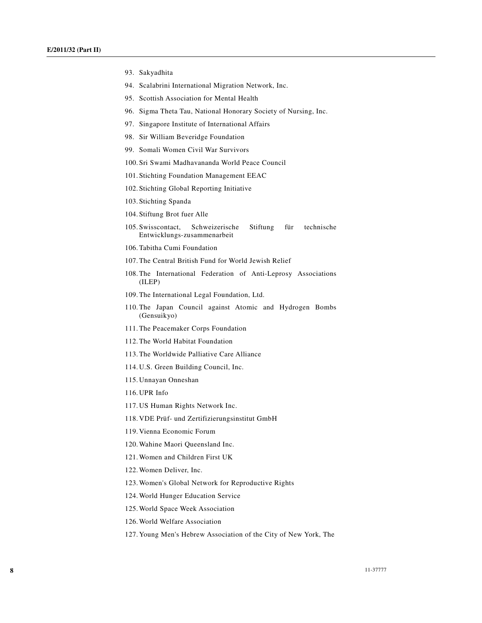- 93. Sakyadhita
- 94. Scalabrini International Migration Network, Inc.
- 95. Scottish Association for Mental Health
- 96. Sigma Theta Tau, National Honorary Society of Nursing, Inc.
- 97. Singapore Institute of International Affairs
- 98. Sir William Beveridge Foundation
- 99. Somali Women Civil War Survivors
- 100. Sri Swami Madhavananda World Peace Council
- 101. Stichting Foundation Management EEAC
- 102. Stichting Global Reporting Initiative
- 103. Stichting Spanda
- 104. Stiftung Brot fuer Alle
- 105. Swisscontact, Schweizerische Stiftung für technische Entwicklungs-zusammenarbeit
- 106.Tabitha Cumi Foundation
- 107.The Central British Fund for World Jewish Relief
- 108.The International Federation of Anti-Leprosy Associations (ILEP)
- 109.The International Legal Foundation, Ltd.
- 110.The Japan Council against Atomic and Hydrogen Bombs (Gensuikyo)
- 111.The Peacemaker Corps Foundation
- 112.The World Habitat Foundation
- 113.The Worldwide Palliative Care Alliance
- 114. U.S. Green Building Council, Inc.
- 115. Unnayan Onneshan
- 116. UPR Info
- 117. US Human Rights Network Inc.
- 118. VDE Prüf- und Zertifizierungsinstitut GmbH
- 119. Vienna Economic Forum
- 120.Wahine Maori Queensland Inc.
- 121.Women and Children First UK
- 122.Women Deliver, Inc.
- 123.Women's Global Network for Reproductive Rights
- 124.World Hunger Education Service
- 125.World Space Week Association
- 126.World Welfare Association
- 127. Young Men's Hebrew Association of the City of New York, The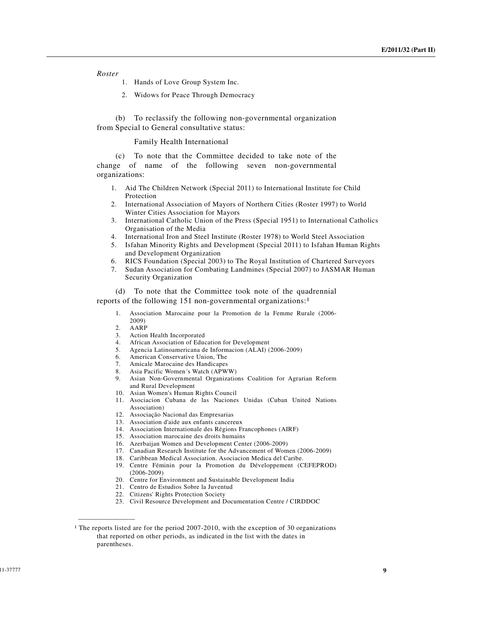## *Roster*

- 1. Hands of Love Group System Inc.
- 2. Widows for Peace Through Democracy

 (b) To reclassify the following non-governmental organization from Special to General consultative status:

#### Family Health International

 (c) To note that the Committee decided to take note of the change of name of the following seven non-governmental organizations:

- 1. Aid The Children Network (Special 2011) to International Institute for Child Protection
- 2. International Association of Mayors of Northern Cities (Roster 1997) to World Winter Cities Association for Mayors
- 3. International Catholic Union of the Press (Special 1951) to International Catholics Organisation of the Media
- 4. International Iron and Steel Institute (Roster 1978) to World Steel Association
- 5. Isfahan Minority Rights and Development (Special 2011) to Isfahan Human Rights and Development Organization
- 6. RICS Foundation (Special 2003) to The Royal Institution of Chartered Surveyors
- 7. Sudan Association for Combating Landmines (Special 2007) to JASMAR Human Security Organization

 (d) To note that the Committee took note of the quadrennial reports of the following 151 non-governmental organizations:1

- 1. Association Marocaine pour la Promotion de la Femme Rurale (2006- 2009)
- 2. AARP<br>3. Action

**\_\_\_\_\_\_\_\_\_\_\_\_\_\_\_\_\_\_** 

- Action Health Incorporated
- 4. African Association of Education for Development
- 5. Agencia Latinoamericana de Informacion (ALAI) (2006-2009)
- 6. American Conservative Union, The
- 7. Amicale Marocaine des Handicapes
- 8. Asia Pacific Women´s Watch (APWW)
- 9. Asian Non-Governmental Organizations Coalition for Agrarian Reform and Rural Development
- 10. Asian Women's Human Rights Council
- 11. Asociacion Cubana de las Naciones Unidas (Cuban United Nations Association)
- 12. Associação Nacional das Empresarias
- 13. Association d'aide aux enfants cancereux
- 14. Association Internationale des Régions Francophones (AIRF)
- 15. Association marocaine des droits humains
- 16. Azerbaijan Women and Development Center (2006-2009)
- 17. Canadian Research Institute for the Advancement of Women (2006-2009)
- 18. Caribbean Medical Association. Asociacion Medica del Caribe. 19. Centre Féminin pour la Promotion du Développement (CEFEPROD) (2006-2009)
- 20. Centre for Environment and Sustainable Development India
- 21. Centro de Estudios Sobre la Juventud
- 22. Citizens' Rights Protection Society
- 23. Civil Resource Development and Documentation Centre / CIRDDOC

<sup>&</sup>lt;sup>1</sup> The reports listed are for the period 2007-2010, with the exception of 30 organizations that reported on other periods, as indicated in the list with the dates in parentheses.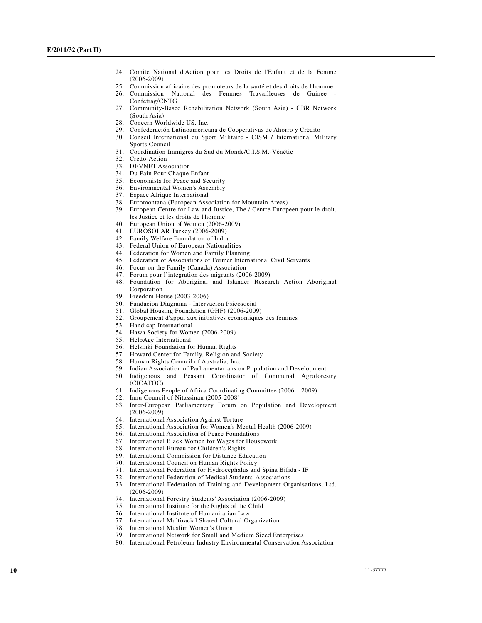- 24. Comite National d'Action pour les Droits de l'Enfant et de la Femme (2006-2009)
- 25. Commission africaine des promoteurs de la santé et des droits de l'homme
- 26. Commission National des Femmes Travailleuses de Guinee Confetrag/CNTG
- 27. Community-Based Rehabilitation Network (South Asia) CBR Network (South Asia)
- 28. Concern Worldwide US, Inc.
- 29. Confederación Latinoamericana de Cooperativas de Ahorro y Crédito
- 30. Conseil International du Sport Militaire CISM / International Military Sports Council
- 31. Coordination Immigrés du Sud du Monde/C.I.S.M.-Vénétie
- 32. Credo-Action
- 33. DEVNET Association
- 34. Du Pain Pour Chaque Enfant
- 35. Economists for Peace and Security 36. Environmental Women's Assembly
- 37. Espace Afrique International
- 38. Euromontana (European Association for Mountain Areas)
- 39. European Centre for Law and Justice, The / Centre Europeen pour le droit, les Justice et les droits de l'homme
- 40. European Union of Women (2006-2009)
- 41. EUROSOLAR Turkey (2006-2009)
- 42. Family Welfare Foundation of India
- 43. Federal Union of European Nationalities
- 44. Federation for Women and Family Planning
- 45. Federation of Associations of Former International Civil Servants
- 46. Focus on the Family (Canada) Association
- 47. Forum pour l'integration des migrants (2006-2009)
- 48. Foundation for Aboriginal and Islander Research Action Aboriginal
- Corporation 49. Freedom House (2003-2006)
- 50. Fundacion Diagrama Intervacion Psicosocial
- 51. Global Housing Foundation (GHF) (2006-2009)
- 52. Groupement d'appui aux initiatives économiques des femmes
- 53. Handicap International
- 54. Hawa Society for Women (2006-2009)
- 55. HelpAge International
- 56. Helsinki Foundation for Human Rights
- 57. Howard Center for Family, Religion and Society
- 58. Human Rights Council of Australia, Inc.
- 59. Indian Association of Parliamentarians on Population and Development
- 60. Indigenous and Peasant Coordinator of Communal Agroforestry (CICAFOC)
- 61. Indigenous People of Africa Coordinating Committee (2006 2009)
- 62. Innu Council of Nitassinan (2005-2008)
- 63. Inter-European Parliamentary Forum on Population and Development (2006-2009)
- 64. International Association Against Torture
- 65. International Association for Women's Mental Health (2006-2009)
- 66. International Association of Peace Foundations
- 67. International Black Women for Wages for Housework
- 68. International Bureau for Children's Rights
- 69. International Commission for Distance Education
- 70. International Council on Human Rights Policy
- 71. International Federation for Hydrocephalus and Spina Bifida IF
- 72. International Federation of Medical Students' Associations
- 73. International Federation of Training and Development Organisations, Ltd. (2006-2009)
- 74. International Forestry Students' Association (2006-2009)
- 75. International Institute for the Rights of the Child
- 76. International Institute of Humanitarian Law
- 77. International Multiracial Shared Cultural Organization
- 78. International Muslim Women's Union
- 79. International Network for Small and Medium Sized Enterprises
- 80. International Petroleum Industry Environmental Conservation Association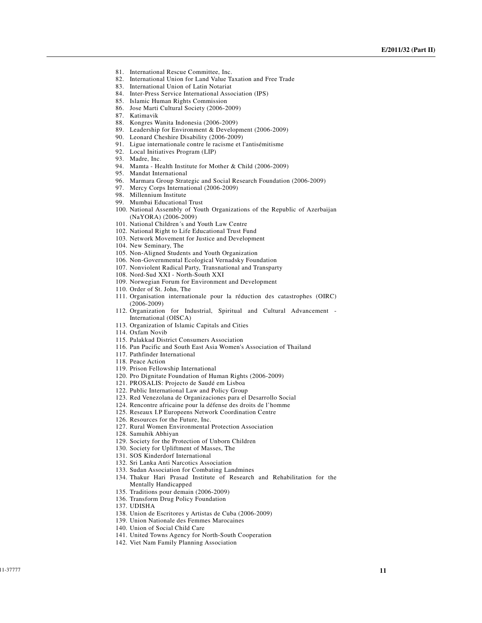- 81. International Rescue Committee, Inc.
- 82. International Union for Land Value Taxation and Free Trade
- 83. International Union of Latin Notariat
- 84. Inter-Press Service International Association (IPS)
- 85. Islamic Human Rights Commission
- 86. Jose Marti Cultural Society (2006-2009)
- 87. Katimavik
- 88. Kongres Wanita Indonesia (2006-2009)
- 89. Leadership for Environment & Development (2006-2009)
- 90. Leonard Cheshire Disability (2006-2009)
- 91. Ligue internationale contre le racisme et l'antisémitisme
- 92. Local Initiatives Program (LIP)
- 93. Madre, Inc.
- 94. Mamta Health Institute for Mother & Child (2006-2009)
- 95. Mandat International
- 96. Marmara Group Strategic and Social Research Foundation (2006-2009)
- 97. Mercy Corps International (2006-2009)
- 98. Millennium Institute
- 99. Mumbai Educational Trust
- 100. National Assembly of Youth Organizations of the Republic of Azerbaijan (NaYORA) (2006-2009)
- 101. National Children´s and Youth Law Centre
- 102. National Right to Life Educational Trust Fund
- 103. Network Movement for Justice and Development
- 104. New Seminary, The
- 105. Non-Aligned Students and Youth Organization
- 106. Non-Governmental Ecological Vernadsky Foundation
- 107. Nonviolent Radical Party, Transnational and Transparty
- 108. Nord-Sud XXI North-South XXI
- 109. Norwegian Forum for Environment and Development
- 110. Order of St. John, The
- 111. Organisation internationale pour la réduction des catastrophes (OIRC) (2006-2009)
- 112. Organization for Industrial, Spiritual and Cultural Advancement International (OISCA)
- 113. Organization of Islamic Capitals and Cities
- 114. Oxfam Novib
- 115. Palakkad District Consumers Association
- 116. Pan Pacific and South East Asia Women's Association of Thailand
- 117. Pathfinder International
- 118. Peace Action
- 119. Prison Fellowship International
- 120. Pro Dignitate Foundation of Human Rights (2006-2009)
- 121. PROSALIS: Projecto de Saudé em Lisboa
- 122. Public International Law and Policy Group
- 123. Red Venezolana de Organizaciones para el Desarrollo Social
- 124. Rencontre africaine pour la défense des droits de l'homme
- 125. Reseaux I.P Europeens Network Coordination Centre
- 126. Resources for the Future, Inc.
- 127. Rural Women Environmental Protection Association
- 128. Samuhik Abhiyan
- 129. Society for the Protection of Unborn Children
- 130. Society for Upliftment of Masses, The
- 131. SOS Kinderdorf International
- 132. Sri Lanka Anti Narcotics Association
- 133. Sudan Association for Combating Landmines
- 134. Thakur Hari Prasad Institute of Research and Rehabilitation for the Mentally Handicapped
- 135. Traditions pour demain (2006-2009)
- 136. Transform Drug Policy Foundation
- 137. UDISHA
- 138. Union de Escritores y Artistas de Cuba (2006-2009)
- 139. Union Nationale des Femmes Marocaines
- 140. Union of Social Child Care
- 141. United Towns Agency for North-South Cooperation
- 142. Viet Nam Family Planning Association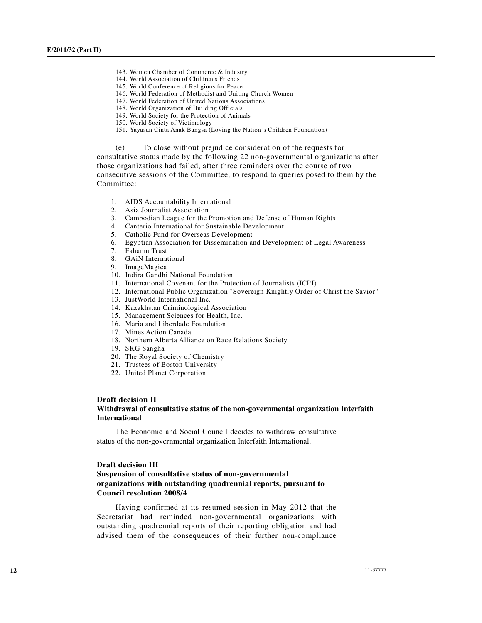- 143. Women Chamber of Commerce & Industry
- 144. World Association of Children's Friends
- 145. World Conference of Religions for Peace
- 146. World Federation of Methodist and Uniting Church Women
- 147. World Federation of United Nations Associations
- 148. World Organization of Building Officials
- 149. World Society for the Protection of Animals
- 150. World Society of Victimology
- 151. Yayasan Cinta Anak Bangsa (Loving the Nation´s Children Foundation)

(e) To close without prejudice consideration of the requests for consultative status made by the following 22 non-governmental organizations after those organizations had failed, after three reminders over the course of two consecutive sessions of the Committee, to respond to queries posed to them by the Committee:

- 1. AIDS Accountability International
- 2. Asia Journalist Association
- 3. Cambodian League for the Promotion and Defense of Human Rights
- 4. Canterio International for Sustainable Development
- 5. Catholic Fund for Overseas Development
- 6. Egyptian Association for Dissemination and Development of Legal Awareness
- 7. Fahamu Trust
- 8. GAiN International
- 9. ImageMagica
- 10. Indira Gandhi National Foundation
- 11. International Covenant for the Protection of Journalists (ICPJ)
- 12. International Public Organization "Sovereign Knightly Order of Christ the Savior"
- 13. JustWorld International Inc.
- 14. Kazakhstan Criminological Association
- 15. Management Sciences for Health, Inc.
- 16. Maria and Liberdade Foundation
- 17. Mines Action Canada
- 18. Northern Alberta Alliance on Race Relations Society
- 19. SKG Sangha
- 20. The Royal Society of Chemistry
- 21. Trustees of Boston University
- 22. United Planet Corporation

### **Draft decision II**

### **Withdrawal of consultative status of the non-governmental organization Interfaith International**

 The Economic and Social Council decides to withdraw consultative status of the non-governmental organization Interfaith International.

#### **Draft decision III**

## **Suspension of consultative status of non-governmental organizations with outstanding quadrennial reports, pursuant to Council resolution 2008/4**

 Having confirmed at its resumed session in May 2012 that the Secretariat had reminded non-governmental organizations with outstanding quadrennial reports of their reporting obligation and had advised them of the consequences of their further non-compliance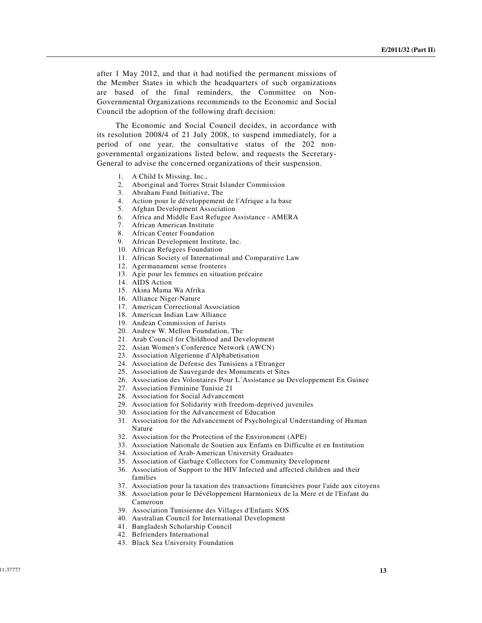after 1 May 2012, and that it had notified the permanent missions of the Member States in which the headquarters of such organizations are based of the final reminders, the Committee on Non-Governmental Organizations recommends to the Economic and Social Council the adoption of the following draft decision:

 The Economic and Social Council decides, in accordance with its resolution 2008/4 of 21 July 2008, to suspend immediately, for a period of one year, the consultative status of the 202 nongovernmental organizations listed below, and requests the Secretary-General to advise the concerned organizations of their suspension.

- 1. A Child Is Missing, Inc.,
- 2. Aboriginal and Torres Strait Islander Commission
- 3. Abraham Fund Initiative, The
- 4. Action pour le développement de l'Afrique a la base
- 5. Afghan Development Association
- 6. Africa and Middle East Refugee Assistance AMERA
- 7. African American Institute
- 8. African Center Foundation
- 9. African Development Institute, Inc.
- 10. African Refugees Foundation
- 11. African Society of International and Comparative Law
- 12. Agermanament sense fronteres
- 13. Agir pour les femmes en situation précaire
- 14. AIDS Action
- 15. Akina Mama Wa Afrika
- 16. Alliance Niger-Nature
- 17. American Correctional Association
- 18. American Indian Law Alliance
- 19. Andean Commission of Jurists
- 20. Andrew W. Mellon Foundation, The
- 21. Arab Council for Childhood and Development
- 22. Asian Women's Conference Network (AWCN)
- 23. Association Algerienne d'Alphabetisation
- 24. Association de Defense des Tunisiens a l'Etranger
- 25. Association de Sauvegarde des Monuments et Sites
- 26. Association des Volontaires Pour L´Assistance au Developpement En Guinee
- 27. Association Feminine Tunisie 21
- 28. Association for Social Advancement
- 29. Association for Solidarity with freedom-deprived juveniles
- 30. Association for the Advancement of Education
- 31. Association for the Advancement of Psychological Understanding of Human Nature
- 32. Association for the Protection of the Environment (APE)
- 33. Association Nationale de Soutien aux Enfants en Difficulte et en Institution
- 34. Association of Arab-American University Graduates
- 35. Association of Garbage Collectors for Community Development
- 36. Association of Support to the HIV Infected and affected children and their families
- 37. Association pour la taxation des transactions financières pour l'aide aux citoyens
- 38. Association pour le Dévéloppement Harmonieux de la Mere et de l'Enfant du Cameroun
- 39. Association Tunisienne des Villages d'Enfants SOS
- 40. Australian Council for International Development
- 41. Bangladesh Scholarship Council
- 42. Befrienders International
- 43. Black Sea University Foundation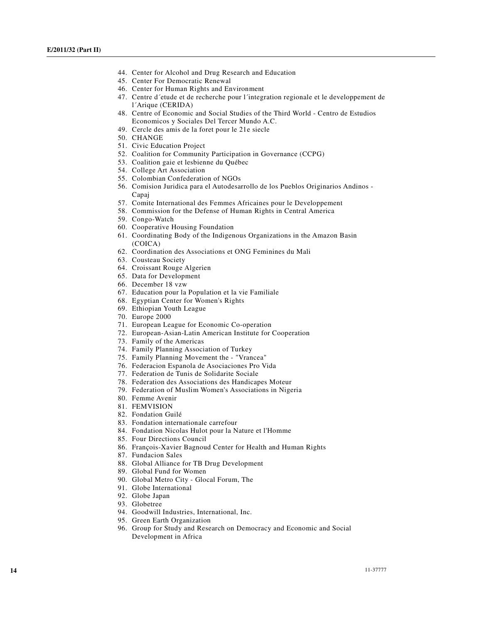- 44. Center for Alcohol and Drug Research and Education
- 45. Center For Democratic Renewal
- 46. Center for Human Rights and Environment
- 47. Centre d´etude et de recherche pour l´integration regionale et le developpement de l´Arique (CERIDA)
- 48. Centre of Economic and Social Studies of the Third World Centro de Estudios Economicos y Sociales Del Tercer Mundo A.C.
- 49. Cercle des amis de la foret pour le 21e siecle
- 50. CHANGE
- 51. Civic Education Project
- 52. Coalition for Community Participation in Governance (CCPG)
- 53. Coalition gaie et lesbienne du Québec
- 54. College Art Association
- 55. Colombian Confederation of NGOs
- 56. Comision Juridica para el Autodesarrollo de los Pueblos Originarios Andinos Capaj
- 57. Comite International des Femmes Africaines pour le Developpement
- 58. Commission for the Defense of Human Rights in Central America
- 59. Congo-Watch
- 60. Cooperative Housing Foundation
- 61. Coordinating Body of the Indigenous Organizations in the Amazon Basin (COICA)
- 62. Coordination des Associations et ONG Feminines du Mali
- 63. Cousteau Society
- 64. Croissant Rouge Algerien
- 65. Data for Development
- 66. December 18 vzw
- 67. Education pour la Population et la vie Familiale
- 68. Egyptian Center for Women's Rights
- 69. Ethiopian Youth League
- 70. Europe 2000
- 71. European League for Economic Co-operation
- 72. European-Asian-Latin American Institute for Cooperation
- 73. Family of the Americas
- 74. Family Planning Association of Turkey
- 75. Family Planning Movement the "Vrancea"
- 76. Federacion Espanola de Asociaciones Pro Vida
- 77. Federation de Tunis de Solidarite Sociale
- 78. Federation des Associations des Handicapes Moteur
- 79. Federation of Muslim Women's Associations in Nigeria
- 80. Femme Avenir
- 81. FEMVISION
- 82. Fondation Guilé
- 83. Fondation internationale carrefour
- 84. Fondation Nicolas Hulot pour la Nature et l'Homme
- 85. Four Directions Council
- 86. François-Xavier Bagnoud Center for Health and Human Rights
- 87. Fundacion Sales
- 88. Global Alliance for TB Drug Development
- 89. Global Fund for Women
- 90. Global Metro City Glocal Forum, The
- 91. Globe International
- 92. Globe Japan
- 93. Globetree
- 94. Goodwill Industries, International, Inc.
- 95. Green Earth Organization
- 96. Group for Study and Research on Democracy and Economic and Social Development in Africa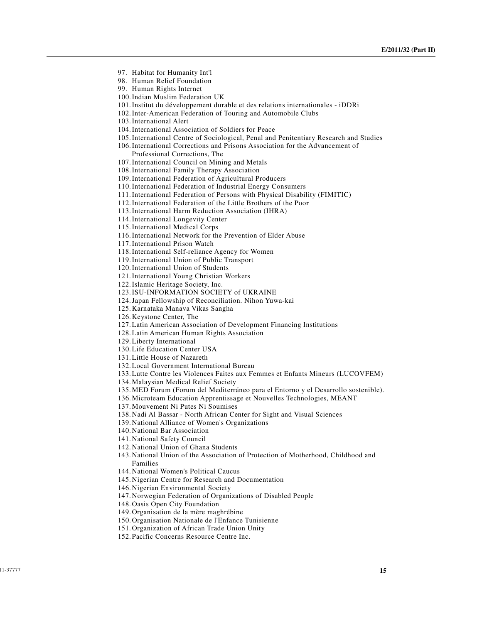- 97. Habitat for Humanity Int'l
- 98. Human Relief Foundation
- 99. Human Rights Internet
- 100.Indian Muslim Federation UK
- 101.Institut du développement durable et des relations internationales iDDRi
- 102.Inter-American Federation of Touring and Automobile Clubs
- 103.International Alert
- 104.International Association of Soldiers for Peace
- 105.International Centre of Sociological, Penal and Penitentiary Research and Studies
- 106.International Corrections and Prisons Association for the Advancement of Professional Corrections, The
- 107.International Council on Mining and Metals
- 108.International Family Therapy Association
- 109.International Federation of Agricultural Producers
- 110.International Federation of Industrial Energy Consumers
- 111.International Federation of Persons with Physical Disability (FIMITIC)
- 112.International Federation of the Little Brothers of the Poor
- 113.International Harm Reduction Association (IHRA)
- 114.International Longevity Center
- 115.International Medical Corps
- 116.International Network for the Prevention of Elder Abuse
- 117.International Prison Watch
- 118.International Self-reliance Agency for Women
- 119.International Union of Public Transport
- 120.International Union of Students
- 121.International Young Christian Workers
- 122.Islamic Heritage Society, Inc.
- 123.ISU-INFORMATION SOCIETY of UKRAINE
- 124.Japan Fellowship of Reconciliation. Nihon Yuwa-kai
- 125. Karnataka Manava Vikas Sangha
- 126. Keystone Center, The
- 127.Latin American Association of Development Financing Institutions
- 128.Latin American Human Rights Association
- 129.Liberty International
- 130.Life Education Center USA
- 131.Little House of Nazareth
- 132.Local Government International Bureau
- 133.Lutte Contre les Violences Faites aux Femmes et Enfants Mineurs (LUCOVFEM)
- 134. Malaysian Medical Relief Society
- 135. MED Forum (Forum del Mediterráneo para el Entorno y el Desarrollo sostenible).
- 136. Microteam Education Apprentissage et Nouvelles Technologies, MEANT
- 137. Mouvement Ni Putes Ni Soumises
- 138. Nadi Al Bassar North African Center for Sight and Visual Sciences
- 139. National Alliance of Women's Organizations
- 140. National Bar Association
- 141. National Safety Council
- 142. National Union of Ghana Students
- 143. National Union of the Association of Protection of Motherhood, Childhood and Families
- 144. National Women's Political Caucus
- 145. Nigerian Centre for Research and Documentation
- 146. Nigerian Environmental Society
- 147. Norwegian Federation of Organizations of Disabled People
- 148. Oasis Open City Foundation
- 149. Organisation de la mère maghrébine
- 150. Organisation Nationale de l'Enfance Tunisienne
- 151. Organization of African Trade Union Unity
- 152. Pacific Concerns Resource Centre Inc.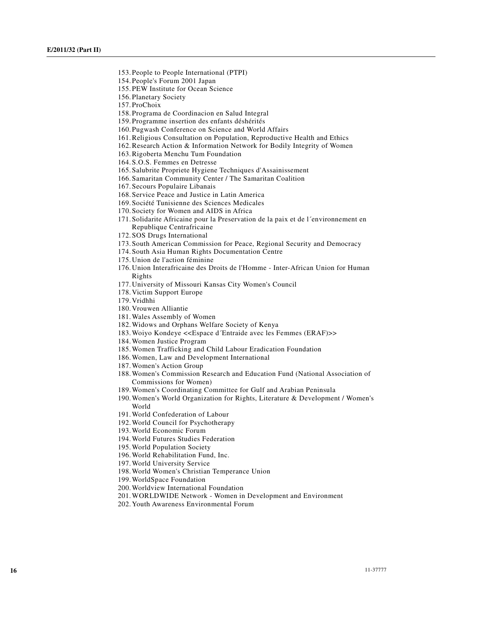- 153. People to People International (PTPI)
- 154. People's Forum 2001 Japan
- 155. PEW Institute for Ocean Science
- 156. Planetary Society
- 157. ProChoix
- 158. Programa de Coordinacion en Salud Integral
- 159. Programme insertion des enfants déshérités
- 160. Pugwash Conference on Science and World Affairs
- 161.Religious Consultation on Population, Reproductive Health and Ethics
- 162.Research Action & Information Network for Bodily Integrity of Women
- 163.Rigoberta Menchu Tum Foundation
- 164. S.O.S. Femmes en Detresse
- 165. Salubrite Propriete Hygiene Techniques d'Assainissement
- 166. Samaritan Community Center / The Samaritan Coalition
- 167. Secours Populaire Libanais
- 168. Service Peace and Justice in Latin America
- 169. Société Tunisienne des Sciences Medicales
- 170. Society for Women and AIDS in Africa
- 171. Solidarite Africaine pour la Preservation de la paix et de l´environnement en Republique Centrafricaine
- 172. SOS Drugs International
- 173. South American Commission for Peace, Regional Security and Democracy
- 174. South Asia Human Rights Documentation Centre
- 175. Union de l'action féminine
- 176. Union Interafricaine des Droits de l'Homme Inter-African Union for Human Rights
- 177. University of Missouri Kansas City Women's Council
- 178. Victim Support Europe
- 179. Vridhhi
- 180. Vrouwen Alliantie
- 181.Wales Assembly of Women
- 182.Widows and Orphans Welfare Society of Kenya
- 183.Woiyo Kondeye <<Espace d´Entraide avec les Femmes (ERAF)>>
- 184.Women Justice Program
- 185.Women Trafficking and Child Labour Eradication Foundation
- 186.Women, Law and Development International
- 187.Women's Action Group
- 188.Women's Commission Research and Education Fund (National Association of Commissions for Women)
- 189.Women's Coordinating Committee for Gulf and Arabian Peninsula
- 190.Women's World Organization for Rights, Literature & Development / Women's World
- 191.World Confederation of Labour
- 192.World Council for Psychotherapy
- 193.World Economic Forum
- 194.World Futures Studies Federation
- 195.World Population Society
- 196.World Rehabilitation Fund, Inc.
- 197.World University Service
- 198.World Women's Christian Temperance Union
- 199.WorldSpace Foundation
- 200.Worldview International Foundation
- 201.WORLDWIDE Network Women in Development and Environment
- 202. Youth Awareness Environmental Forum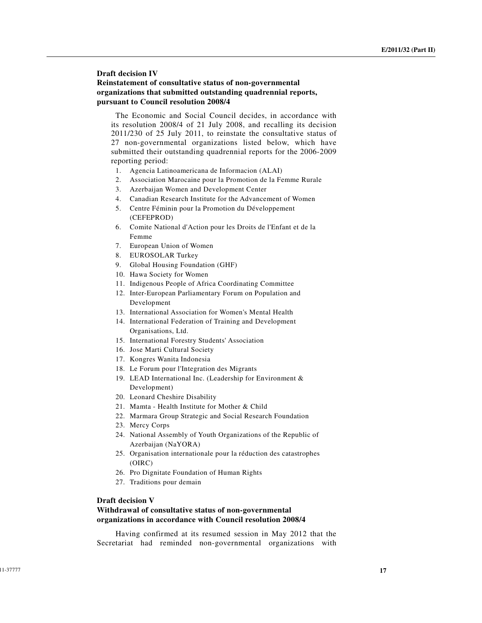## **Draft decision IV Reinstatement of consultative status of non-governmental organizations that submitted outstanding quadrennial reports, pursuant to Council resolution 2008/4**

 The Economic and Social Council decides, in accordance with its resolution 2008/4 of 21 July 2008, and recalling its decision 2011/230 of 25 July 2011, to reinstate the consultative status of 27 non-governmental organizations listed below, which have submitted their outstanding quadrennial reports for the 2006-2009 reporting period:

- 1. Agencia Latinoamericana de Informacion (ALAI)
- 2. Association Marocaine pour la Promotion de la Femme Rurale
- 3. Azerbaijan Women and Development Center
- 4. Canadian Research Institute for the Advancement of Women
- 5. Centre Féminin pour la Promotion du Développement (CEFEPROD)
- 6. Comite National d'Action pour les Droits de l'Enfant et de la Femme
- 7. European Union of Women
- 8. EUROSOLAR Turkey
- 9. Global Housing Foundation (GHF)
- 10. Hawa Society for Women
- 11. Indigenous People of Africa Coordinating Committee
- 12. Inter-European Parliamentary Forum on Population and Development
- 13. International Association for Women's Mental Health
- 14. International Federation of Training and Development Organisations, Ltd.
- 15. International Forestry Students' Association
- 16. Jose Marti Cultural Society
- 17. Kongres Wanita Indonesia
- 18. Le Forum pour l'Integration des Migrants
- 19. LEAD International Inc. (Leadership for Environment & Development)
- 20. Leonard Cheshire Disability
- 21. Mamta Health Institute for Mother & Child
- 22. Marmara Group Strategic and Social Research Foundation
- 23. Mercy Corps
- 24. National Assembly of Youth Organizations of the Republic of Azerbaijan (NaYORA)
- 25. Organisation internationale pour la réduction des catastrophes (OIRC)
- 26. Pro Dignitate Foundation of Human Rights
- 27. Traditions pour demain

#### **Draft decision V**

## **Withdrawal of consultative status of non-governmental organizations in accordance with Council resolution 2008/4**

 Having confirmed at its resumed session in May 2012 that the Secretariat had reminded non-governmental organizations with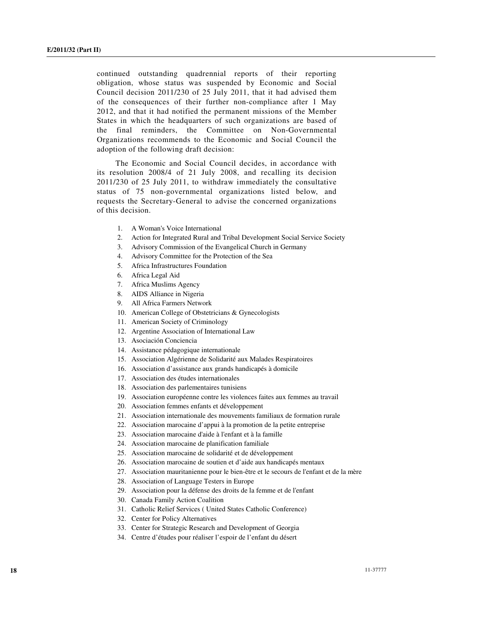continued outstanding quadrennial reports of their reporting obligation, whose status was suspended by Economic and Social Council decision 2011/230 of 25 July 2011, that it had advised them of the consequences of their further non-compliance after 1 May 2012, and that it had notified the permanent missions of the Member States in which the headquarters of such organizations are based of the final reminders, the Committee on Non-Governmental Organizations recommends to the Economic and Social Council the adoption of the following draft decision:

 The Economic and Social Council decides, in accordance with its resolution 2008/4 of 21 July 2008, and recalling its decision 2011/230 of 25 July 2011, to withdraw immediately the consultative status of 75 non-governmental organizations listed below, and requests the Secretary-General to advise the concerned organizations of this decision.

- 1. A Woman's Voice International
- 2. Action for Integrated Rural and Tribal Development Social Service Society
- 3. Advisory Commission of the Evangelical Church in Germany
- 4. Advisory Committee for the Protection of the Sea
- 5. Africa Infrastructures Foundation
- 6. Africa Legal Aid
- 7. Africa Muslims Agency
- 8. AIDS Alliance in Nigeria
- 9. All Africa Farmers Network
- 10. American College of Obstetricians & Gynecologists
- 11. American Society of Criminology
- 12. Argentine Association of International Law
- 13. Asociación Conciencia
- 14. Assistance pédagogique internationale
- 15. Association Algérienne de Solidarité aux Malades Respiratoires
- 16. Association d'assistance aux grands handicapés à domicile
- 17. Association des études internationales
- 18. Association des parlementaires tunisiens
- 19. Association européenne contre les violences faites aux femmes au travail
- 20. Association femmes enfants et développement
- 21. Association internationale des mouvements familiaux de formation rurale
- 22. Association marocaine d'appui à la promotion de la petite entreprise
- 23. Association marocaine d'aide à l'enfant et à la famille
- 24. Association marocaine de planification familiale
- 25. Association marocaine de solidarité et de développement
- 26. Association marocaine de soutien et d'aide aux handicapés mentaux
- 27. Association mauritanienne pour le bien-être et le secours de l'enfant et de la mère
- 28. Association of Language Testers in Europe
- 29. Association pour la défense des droits de la femme et de l'enfant
- 30. Canada Family Action Coalition
- 31. Catholic Relief Services ( United States Catholic Conference)
- 32. Center for Policy Alternatives
- 33. Center for Strategic Research and Development of Georgia
- 34. Centre d'études pour réaliser l'espoir de l'enfant du désert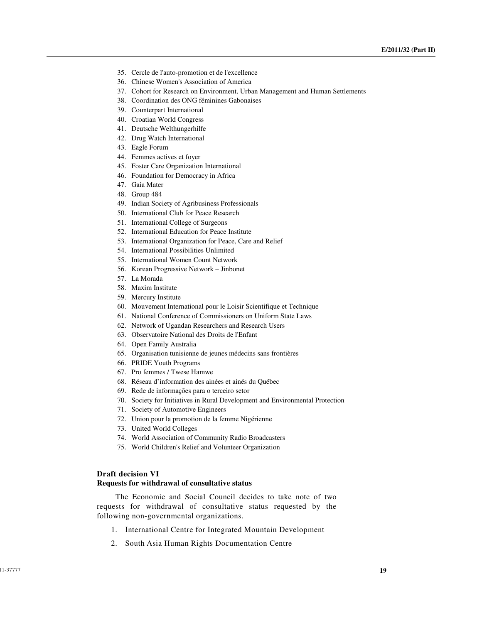- 35. Cercle de l'auto-promotion et de l'excellence
- 36. Chinese Women's Association of America
- 37. Cohort for Research on Environment, Urban Management and Human Settlements
- 38. Coordination des ONG féminines Gabonaises
- 39. Counterpart International
- 40. Croatian World Congress
- 41. Deutsche Welthungerhilfe
- 42. Drug Watch International
- 43. Eagle Forum
- 44. Femmes actives et foyer
- 45. Foster Care Organization International
- 46. Foundation for Democracy in Africa
- 47. Gaia Mater
- 48. Group 484
- 49. Indian Society of Agribusiness Professionals
- 50. International Club for Peace Research
- 51. International College of Surgeons
- 52. International Education for Peace Institute
- 53. International Organization for Peace, Care and Relief
- 54. International Possibilities Unlimited
- 55. International Women Count Network
- 56. Korean Progressive Network Jinbonet
- 57. La Morada
- 58. Maxim Institute
- 59. Mercury Institute
- 60. Mouvement International pour le Loisir Scientifique et Technique
- 61. National Conference of Commissioners on Uniform State Laws
- 62. Network of Ugandan Researchers and Research Users
- 63. Observatoire National des Droits de l'Enfant
- 64. Open Family Australia
- 65. Organisation tunisienne de jeunes médecins sans frontières
- 66. PRIDE Youth Programs
- 67. Pro femmes / Twese Hamwe
- 68. Réseau d'information des ainées et ainés du Québec
- 69. Rede de informações para o terceiro setor
- 70. Society for Initiatives in Rural Development and Environmental Protection
- 71. Society of Automotive Engineers
- 72. Union pour la promotion de la femme Nigérienne
- 73. United World Colleges
- 74. World Association of Community Radio Broadcasters
- 75. World Children's Relief and Volunteer Organization

#### **Draft decision VI Requests for withdrawal of consultative status**

 The Economic and Social Council decides to take note of two requests for withdrawal of consultative status requested by the following non-governmental organizations.

- 1. International Centre for Integrated Mountain Development
- 2. South Asia Human Rights Documentation Centre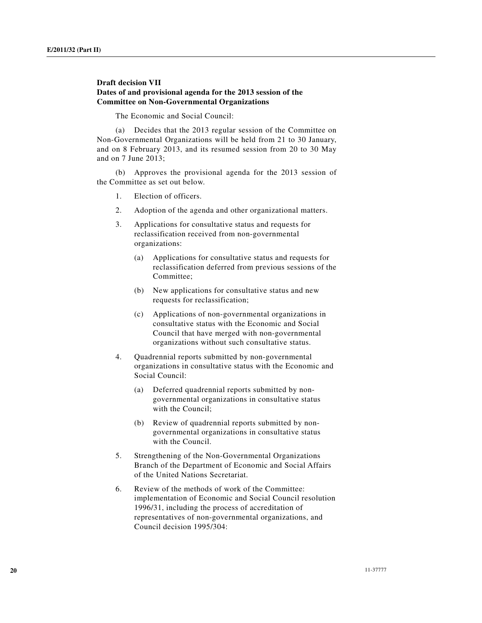## **Draft decision VII Dates of and provisional agenda for the 2013 session of the Committee on Non-Governmental Organizations**

The Economic and Social Council:

 (a) Decides that the 2013 regular session of the Committee on Non-Governmental Organizations will be held from 21 to 30 January, and on 8 February 2013, and its resumed session from 20 to 30 May and on 7 June 2013;

 (b) Approves the provisional agenda for the 2013 session of the Committee as set out below.

- 1. Election of officers.
- 2. Adoption of the agenda and other organizational matters.
- 3. Applications for consultative status and requests for reclassification received from non-governmental organizations:
	- (a) Applications for consultative status and requests for reclassification deferred from previous sessions of the Committee;
	- (b) New applications for consultative status and new requests for reclassification;
	- (c) Applications of non-governmental organizations in consultative status with the Economic and Social Council that have merged with non-governmental organizations without such consultative status.
- 4. Quadrennial reports submitted by non-governmental organizations in consultative status with the Economic and Social Council:
	- (a) Deferred quadrennial reports submitted by nongovernmental organizations in consultative status with the Council;
	- (b) Review of quadrennial reports submitted by nongovernmental organizations in consultative status with the Council.
- 5. Strengthening of the Non-Governmental Organizations Branch of the Department of Economic and Social Affairs of the United Nations Secretariat.
- 6. Review of the methods of work of the Committee: implementation of Economic and Social Council resolution 1996/31, including the process of accreditation of representatives of non-governmental organizations, and Council decision 1995/304: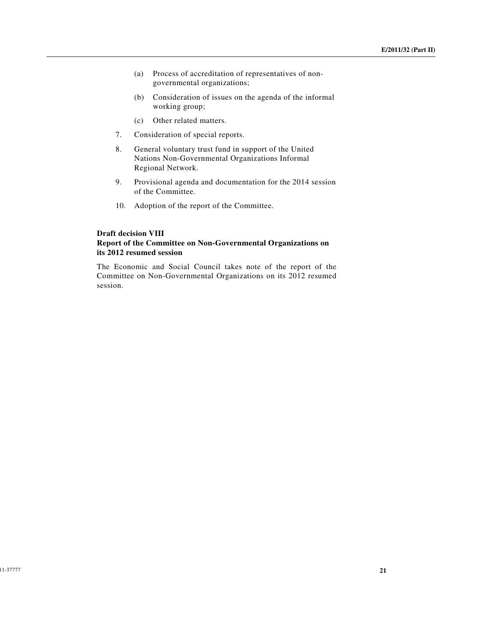- (a) Process of accreditation of representatives of nongovernmental organizations;
- (b) Consideration of issues on the agenda of the informal working group;
- (c) Other related matters.
- 7. Consideration of special reports.
- 8. General voluntary trust fund in support of the United Nations Non-Governmental Organizations Informal Regional Network.
- 9. Provisional agenda and documentation for the 2014 session of the Committee.
- 10. Adoption of the report of the Committee.

## **Draft decision VIII Report of the Committee on Non-Governmental Organizations on its 2012 resumed session**

The Economic and Social Council takes note of the report of the Committee on Non-Governmental Organizations on its 2012 resumed session.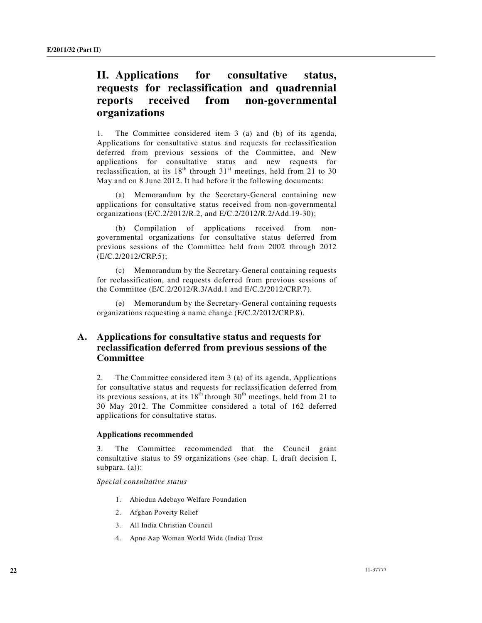# **II. Applications for consultative status, requests for reclassification and quadrennial reports received from non-governmental organizations**

1. The Committee considered item 3 (a) and (b) of its agenda, Applications for consultative status and requests for reclassification deferred from previous sessions of the Committee, and New applications for consultative status and new requests for reclassification, at its  $18<sup>th</sup>$  through  $31<sup>st</sup>$  meetings, held from 21 to 30 May and on 8 June 2012. It had before it the following documents:

 (a) Memorandum by the Secretary-General containing new applications for consultative status received from non-governmental organizations (E/C.2/2012/R.2, and E/C.2/2012/R.2/Add.19-30);

 (b) Compilation of applications received from nongovernmental organizations for consultative status deferred from previous sessions of the Committee held from 2002 through 2012 (E/C.2/2012/CRP.5);

 (c) Memorandum by the Secretary-General containing requests for reclassification, and requests deferred from previous sessions of the Committee (E/C.2/2012/R.3/Add.1 and E/C.2/2012/CRP.7).

 (e) Memorandum by the Secretary-General containing requests organizations requesting a name change (E/C.2/2012/CRP.8).

## **A. Applications for consultative status and requests for reclassification deferred from previous sessions of the Committee**

2. The Committee considered item 3 (a) of its agenda, Applications for consultative status and requests for reclassification deferred from its previous sessions, at its  $18<sup>th</sup>$  through  $30<sup>th</sup>$  meetings, held from 21 to 30 May 2012. The Committee considered a total of 162 deferred applications for consultative status.

#### **Applications recommended**

3. The Committee recommended that the Council grant consultative status to 59 organizations (see chap. I, draft decision I, subpara. (a)):

*Special consultative status* 

- 1. Abiodun Adebayo Welfare Foundation
- 2. Afghan Poverty Relief
- 3. All India Christian Council
- 4. Apne Aap Women World Wide (India) Trust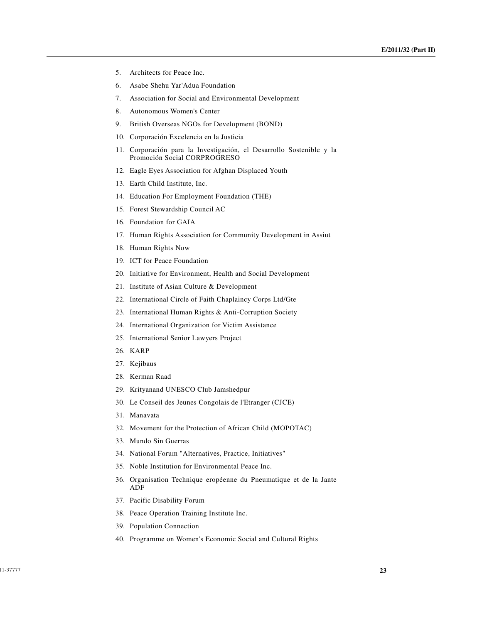- 5. Architects for Peace Inc.
- 6. Asabe Shehu Yar'Adua Foundation
- 7. Association for Social and Environmental Development
- 8. Autonomous Women's Center
- 9. British Overseas NGOs for Development (BOND)
- 10. Corporación Excelencia en la Justicia
- 11. Corporación para la Investigación, el Desarrollo Sostenible y la Promoción Social CORPROGRESO
- 12. Eagle Eyes Association for Afghan Displaced Youth
- 13. Earth Child Institute, Inc.
- 14. Education For Employment Foundation (THE)
- 15. Forest Stewardship Council AC
- 16. Foundation for GAIA
- 17. Human Rights Association for Community Development in Assiut
- 18. Human Rights Now
- 19. ICT for Peace Foundation
- 20. Initiative for Environment, Health and Social Development
- 21. Institute of Asian Culture & Development
- 22. International Circle of Faith Chaplaincy Corps Ltd/Gte
- 23. International Human Rights & Anti-Corruption Society
- 24. International Organization for Victim Assistance
- 25. International Senior Lawyers Project
- 26. KARP
- 27. Kejibaus
- 28. Kerman Raad
- 29. Krityanand UNESCO Club Jamshedpur
- 30. Le Conseil des Jeunes Congolais de l'Etranger (CJCE)
- 31. Manavata
- 32. Movement for the Protection of African Child (MOPOTAC)
- 33. Mundo Sin Guerras
- 34. National Forum "Alternatives, Practice, Initiatives"
- 35. Noble Institution for Environmental Peace Inc.
- 36. Organisation Technique eropéenne du Pneumatique et de la Jante ADF
- 37. Pacific Disability Forum
- 38. Peace Operation Training Institute Inc.
- 39. Population Connection
- 40. Programme on Women's Economic Social and Cultural Rights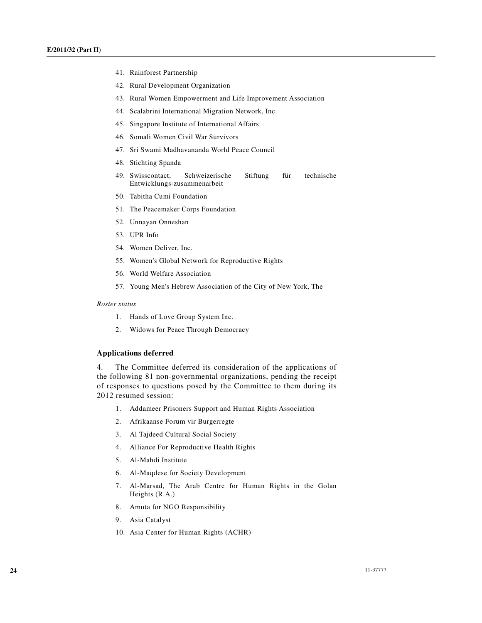- 41. Rainforest Partnership
- 42. Rural Development Organization
- 43. Rural Women Empowerment and Life Improvement Association
- 44. Scalabrini International Migration Network, Inc.
- 45. Singapore Institute of International Affairs
- 46. Somali Women Civil War Survivors
- 47. Sri Swami Madhavananda World Peace Council
- 48. Stichting Spanda
- 49. Swisscontact, Schweizerische Stiftung für technische Entwicklungs-zusammenarbeit
- 50. Tabitha Cumi Foundation
- 51. The Peacemaker Corps Foundation
- 52. Unnayan Onneshan
- 53. UPR Info
- 54. Women Deliver, Inc.
- 55. Women's Global Network for Reproductive Rights
- 56. World Welfare Association
- 57. Young Men's Hebrew Association of the City of New York, The

#### *Roster status*

- 1. Hands of Love Group System Inc.
- 2. Widows for Peace Through Democracy

#### **Applications deferred**

4. The Committee deferred its consideration of the applications of the following 81 non-governmental organizations, pending the receipt of responses to questions posed by the Committee to them during its 2012 resumed session:

- 1. Addameer Prisoners Support and Human Rights Association
- 2. Afrikaanse Forum vir Burgerregte
- 3. Al Tajdeed Cultural Social Society
- 4. Alliance For Reproductive Health Rights
- 5. Al-Mahdi Institute
- 6. Al-Maqdese for Society Development
- 7. Al-Marsad, The Arab Centre for Human Rights in the Golan Heights (R.A.)
- 8. Amuta for NGO Responsibility
- 9. Asia Catalyst
- 10. Asia Center for Human Rights (ACHR)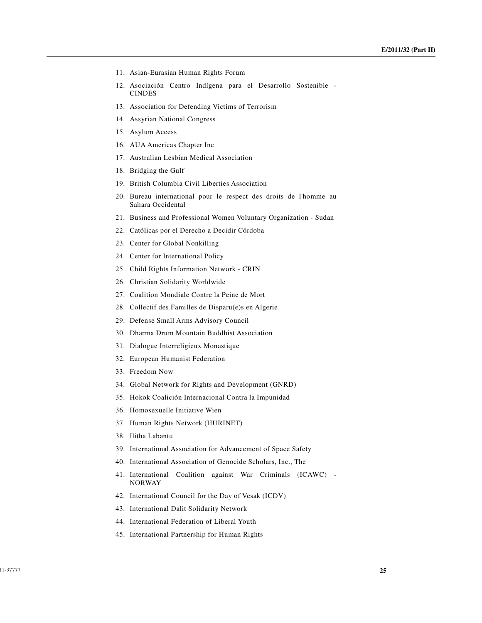- 11. Asian-Eurasian Human Rights Forum
- 12. Asociación Centro Indígena para el Desarrollo Sostenible CINDES
- 13. Association for Defending Victims of Terrorism
- 14. Assyrian National Congress
- 15. Asylum Access
- 16. AUA Americas Chapter Inc
- 17. Australian Lesbian Medical Association
- 18. Bridging the Gulf
- 19. British Columbia Civil Liberties Association
- 20. Bureau international pour le respect des droits de l'homme au Sahara Occidental
- 21. Business and Professional Women Voluntary Organization Sudan
- 22. Católicas por el Derecho a Decidir Córdoba
- 23. Center for Global Nonkilling
- 24. Center for International Policy
- 25. Child Rights Information Network CRIN
- 26. Christian Solidarity Worldwide
- 27. Coalition Mondiale Contre la Peine de Mort
- 28. Collectif des Familles de Disparu(e)s en Algerie
- 29. Defense Small Arms Advisory Council
- 30. Dharma Drum Mountain Buddhist Association
- 31. Dialogue Interreligieux Monastique
- 32. European Humanist Federation
- 33. Freedom Now
- 34. Global Network for Rights and Development (GNRD)
- 35. Hokok Coalición Internacional Contra la Impunidad
- 36. Homosexuelle Initiative Wien
- 37. Human Rights Network (HURINET)
- 38. Ilitha Labantu
- 39. International Association for Advancement of Space Safety
- 40. International Association of Genocide Scholars, Inc., The
- 41. International Coalition against War Criminals (ICAWC) NORWAY
- 42. International Council for the Day of Vesak (ICDV)
- 43. International Dalit Solidarity Network
- 44. International Federation of Liberal Youth
- 45. International Partnership for Human Rights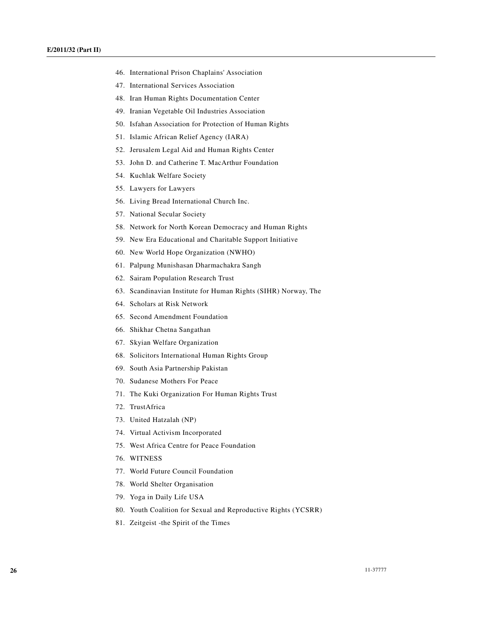- 46. International Prison Chaplains' Association
- 47. International Services Association
- 48. Iran Human Rights Documentation Center
- 49. Iranian Vegetable Oil Industries Association
- 50. Isfahan Association for Protection of Human Rights
- 51. Islamic African Relief Agency (IARA)
- 52. Jerusalem Legal Aid and Human Rights Center
- 53. John D. and Catherine T. MacArthur Foundation
- 54. Kuchlak Welfare Society
- 55. Lawyers for Lawyers
- 56. Living Bread International Church Inc.
- 57. National Secular Society
- 58. Network for North Korean Democracy and Human Rights
- 59. New Era Educational and Charitable Support Initiative
- 60. New World Hope Organization (NWHO)
- 61. Palpung Munishasan Dharmachakra Sangh
- 62. Sairam Population Research Trust
- 63. Scandinavian Institute for Human Rights (SIHR) Norway, The
- 64. Scholars at Risk Network
- 65. Second Amendment Foundation
- 66. Shikhar Chetna Sangathan
- 67. Skyian Welfare Organization
- 68. Solicitors International Human Rights Group
- 69. South Asia Partnership Pakistan
- 70. Sudanese Mothers For Peace
- 71. The Kuki Organization For Human Rights Trust
- 72. TrustAfrica
- 73. United Hatzalah (NP)
- 74. Virtual Activism Incorporated
- 75. West Africa Centre for Peace Foundation
- 76. WITNESS
- 77. World Future Council Foundation
- 78. World Shelter Organisation
- 79. Yoga in Daily Life USA
- 80. Youth Coalition for Sexual and Reproductive Rights (YCSRR)
- 81. Zeitgeist -the Spirit of the Times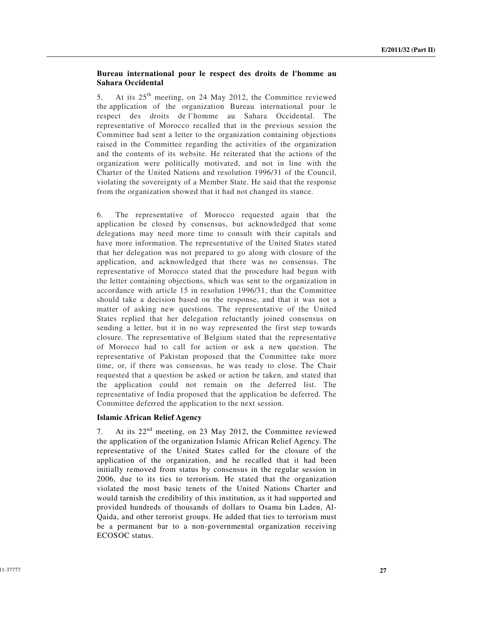## **Bureau international pour le respect des droits de l'homme au Sahara Occidental**

5. At its 25<sup>th</sup> meeting, on 24 May 2012, the Committee reviewed the application of the organization Bureau international pour le respect des droits de l'homme au Sahara Occidental. The representative of Morocco recalled that in the previous session the Committee had sent a letter to the organization containing objections raised in the Committee regarding the activities of the organization and the contents of its website. He reiterated that the actions of the organization were politically motivated, and not in line with the Charter of the United Nations and resolution 1996/31 of the Council, violating the sovereignty of a Member State. He said that the response from the organization showed that it had not changed its stance.

6. The representative of Morocco requested again that the application be closed by consensus, but acknowledged that some delegations may need more time to consult with their capitals and have more information. The representative of the United States stated that her delegation was not prepared to go along with closure of the application, and acknowledged that there was no consensus. The representative of Morocco stated that the procedure had begun with the letter containing objections, which was sent to the organization in accordance with article 15 in resolution 1996/31, that the Committee should take a decision based on the response, and that it was not a matter of asking new questions. The representative of the United States replied that her delegation reluctantly joined consensus on sending a letter, but it in no way represented the first step towards closure. The representative of Belgium stated that the representative of Morocco had to call for action or ask a new question. The representative of Pakistan proposed that the Committee take more time, or, if there was consensus, he was ready to close. The Chair requested that a question be asked or action be taken, and stated that the application could not remain on the deferred list. The representative of India proposed that the application be deferred. The Committee deferred the application to the next session.

#### **Islamic African Relief Agency**

7. At its  $22<sup>nd</sup>$  meeting, on 23 May 2012, the Committee reviewed the application of the organization Islamic African Relief Agency. The representative of the United States called for the closure of the application of the organization, and he recalled that it had been initially removed from status by consensus in the regular session in 2006, due to its ties to terrorism. He stated that the organization violated the most basic tenets of the United Nations Charter and would tarnish the credibility of this institution, as it had supported and provided hundreds of thousands of dollars to Osama bin Laden, Al-Qaida, and other terrorist groups. He added that ties to terrorism must be a permanent bar to a non-governmental organization receiving ECOSOC status.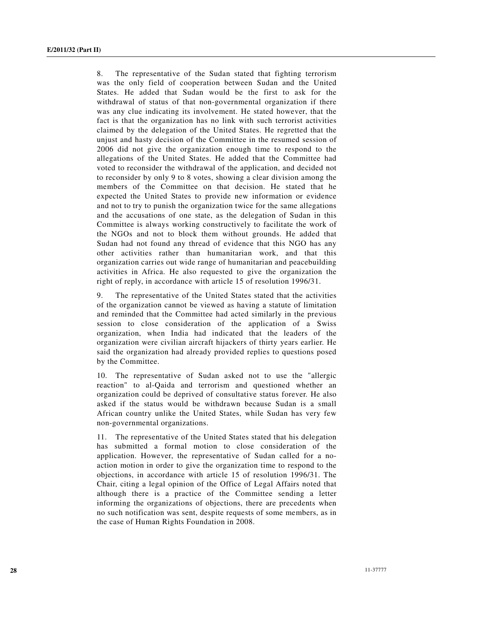8. The representative of the Sudan stated that fighting terrorism was the only field of cooperation between Sudan and the United States. He added that Sudan would be the first to ask for the withdrawal of status of that non-governmental organization if there was any clue indicating its involvement. He stated however, that the fact is that the organization has no link with such terrorist activities claimed by the delegation of the United States. He regretted that the unjust and hasty decision of the Committee in the resumed session of 2006 did not give the organization enough time to respond to the allegations of the United States. He added that the Committee had voted to reconsider the withdrawal of the application, and decided not to reconsider by only 9 to 8 votes, showing a clear division among the members of the Committee on that decision. He stated that he expected the United States to provide new information or evidence and not to try to punish the organization twice for the same allegations and the accusations of one state, as the delegation of Sudan in this Committee is always working constructively to facilitate the work of the NGOs and not to block them without grounds. He added that Sudan had not found any thread of evidence that this NGO has any other activities rather than humanitarian work, and that this organization carries out wide range of humanitarian and peacebuilding activities in Africa. He also requested to give the organization the right of reply, in accordance with article 15 of resolution 1996/31.

9. The representative of the United States stated that the activities of the organization cannot be viewed as having a statute of limitation and reminded that the Committee had acted similarly in the previous session to close consideration of the application of a Swiss organization, when India had indicated that the leaders of the organization were civilian aircraft hijackers of thirty years earlier. He said the organization had already provided replies to questions posed by the Committee.

10. The representative of Sudan asked not to use the "allergic reaction" to al-Qaida and terrorism and questioned whether an organization could be deprived of consultative status forever. He also asked if the status would be withdrawn because Sudan is a small African country unlike the United States, while Sudan has very few non-governmental organizations.

11. The representative of the United States stated that his delegation has submitted a formal motion to close consideration of the application. However, the representative of Sudan called for a noaction motion in order to give the organization time to respond to the objections, in accordance with article 15 of resolution 1996/31. The Chair, citing a legal opinion of the Office of Legal Affairs noted that although there is a practice of the Committee sending a letter informing the organizations of objections, there are precedents when no such notification was sent, despite requests of some members, as in the case of Human Rights Foundation in 2008.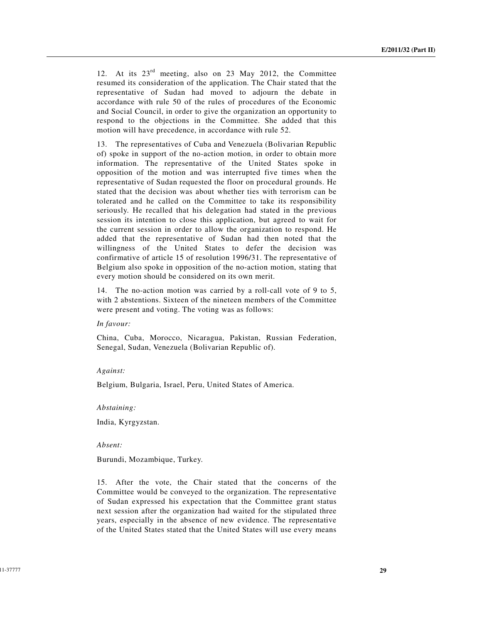12. At its 23rd meeting, also on 23 May 2012, the Committee resumed its consideration of the application. The Chair stated that the representative of Sudan had moved to adjourn the debate in accordance with rule 50 of the rules of procedures of the Economic and Social Council, in order to give the organization an opportunity to respond to the objections in the Committee. She added that this motion will have precedence, in accordance with rule 52.

13. The representatives of Cuba and Venezuela (Bolivarian Republic of) spoke in support of the no-action motion, in order to obtain more information. The representative of the United States spoke in opposition of the motion and was interrupted five times when the representative of Sudan requested the floor on procedural grounds. He stated that the decision was about whether ties with terrorism can be tolerated and he called on the Committee to take its responsibility seriously. He recalled that his delegation had stated in the previous session its intention to close this application, but agreed to wait for the current session in order to allow the organization to respond. He added that the representative of Sudan had then noted that the willingness of the United States to defer the decision was confirmative of article 15 of resolution 1996/31. The representative of Belgium also spoke in opposition of the no-action motion, stating that every motion should be considered on its own merit.

14. The no-action motion was carried by a roll-call vote of 9 to 5, with 2 abstentions. Sixteen of the nineteen members of the Committee were present and voting. The voting was as follows:

#### *In favour:*

China, Cuba, Morocco, Nicaragua, Pakistan, Russian Federation, Senegal, Sudan, Venezuela (Bolivarian Republic of).

#### *Against:*

Belgium, Bulgaria, Israel, Peru, United States of America.

#### *Abstaining:*

India, Kyrgyzstan.

#### *Absent:*

Burundi, Mozambique, Turkey.

15. After the vote, the Chair stated that the concerns of the Committee would be conveyed to the organization. The representative of Sudan expressed his expectation that the Committee grant status next session after the organization had waited for the stipulated three years, especially in the absence of new evidence. The representative of the United States stated that the United States will use every means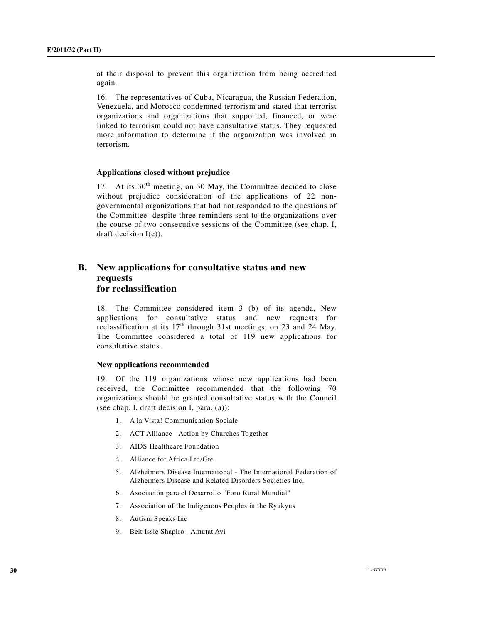at their disposal to prevent this organization from being accredited again.

16. The representatives of Cuba, Nicaragua, the Russian Federation, Venezuela, and Morocco condemned terrorism and stated that terrorist organizations and organizations that supported, financed, or were linked to terrorism could not have consultative status. They requested more information to determine if the organization was involved in terrorism.

## **Applications closed without prejudice**

17. At its  $30<sup>th</sup>$  meeting, on 30 May, the Committee decided to close without prejudice consideration of the applications of 22 nongovernmental organizations that had not responded to the questions of the Committee despite three reminders sent to the organizations over the course of two consecutive sessions of the Committee (see chap. I, draft decision I(e)).

## **B. New applications for consultative status and new requests for reclassification**

18. The Committee considered item 3 (b) of its agenda, New applications for consultative status and new requests for reclassification at its  $17<sup>th</sup>$  through 31st meetings, on 23 and 24 May. The Committee considered a total of 119 new applications for consultative status.

#### **New applications recommended**

19. Of the 119 organizations whose new applications had been received, the Committee recommended that the following 70 organizations should be granted consultative status with the Council (see chap. I, draft decision I, para. (a)):

- 1. A la Vista! Communication Sociale
- 2. ACT Alliance Action by Churches Together
- 3. AIDS Healthcare Foundation
- 4. Alliance for Africa Ltd/Gte
- 5. Alzheimers Disease International The International Federation of Alzheimers Disease and Related Disorders Societies Inc.
- 6. Asociación para el Desarrollo "Foro Rural Mundial"
- 7. Association of the Indigenous Peoples in the Ryukyus
- 8. Autism Speaks Inc
- 9. Beit Issie Shapiro Amutat Avi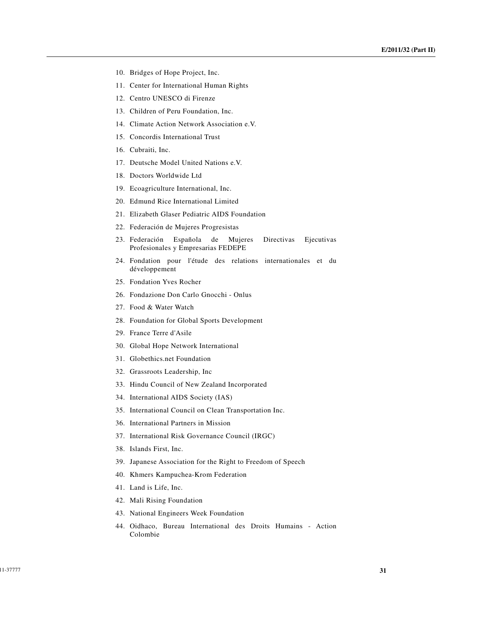- 10. Bridges of Hope Project, Inc.
- 11. Center for International Human Rights
- 12. Centro UNESCO di Firenze
- 13. Children of Peru Foundation, Inc.
- 14. Climate Action Network Association e.V.
- 15. Concordis International Trust
- 16. Cubraiti, Inc.
- 17. Deutsche Model United Nations e.V.
- 18. Doctors Worldwide Ltd
- 19. Ecoagriculture International, Inc.
- 20. Edmund Rice International Limited
- 21. Elizabeth Glaser Pediatric AIDS Foundation
- 22. Federación de Mujeres Progresistas
- 23. Federación Española de Mujeres Directivas Ejecutivas Profesionales y Empresarias FEDEPE
- 24. Fondation pour l'étude des relations internationales et du développement
- 25. Fondation Yves Rocher
- 26. Fondazione Don Carlo Gnocchi Onlus
- 27. Food & Water Watch
- 28. Foundation for Global Sports Development
- 29. France Terre d'Asile
- 30. Global Hope Network International
- 31. Globethics.net Foundation
- 32. Grassroots Leadership, Inc
- 33. Hindu Council of New Zealand Incorporated
- 34. International AIDS Society (IAS)
- 35. International Council on Clean Transportation Inc.
- 36. International Partners in Mission
- 37. International Risk Governance Council (IRGC)
- 38. Islands First, Inc.
- 39. Japanese Association for the Right to Freedom of Speech
- 40. Khmers Kampuchea-Krom Federation
- 41. Land is Life, Inc.
- 42. Mali Rising Foundation
- 43. National Engineers Week Foundation
- 44. Oidhaco, Bureau International des Droits Humains Action Colombie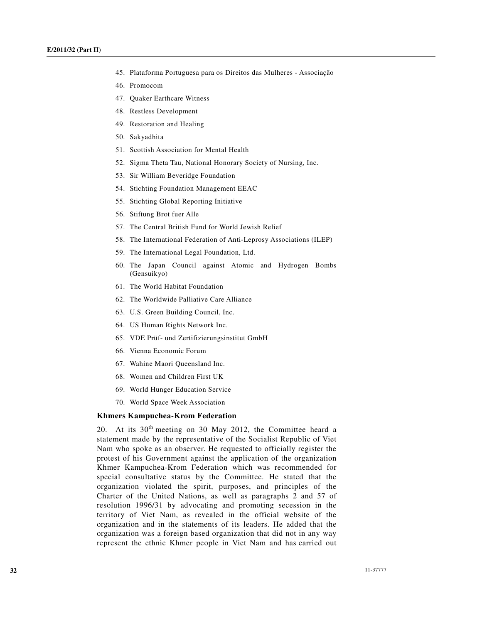- 45. Plataforma Portuguesa para os Direitos das Mulheres Associação
- 46. Promocom
- 47. Quaker Earthcare Witness
- 48. Restless Development
- 49. Restoration and Healing
- 50. Sakyadhita
- 51. Scottish Association for Mental Health
- 52. Sigma Theta Tau, National Honorary Society of Nursing, Inc.
- 53. Sir William Beveridge Foundation
- 54. Stichting Foundation Management EEAC
- 55. Stichting Global Reporting Initiative
- 56. Stiftung Brot fuer Alle
- 57. The Central British Fund for World Jewish Relief
- 58. The International Federation of Anti-Leprosy Associations (ILEP)
- 59. The International Legal Foundation, Ltd.
- 60. The Japan Council against Atomic and Hydrogen Bombs (Gensuikyo)
- 61. The World Habitat Foundation
- 62. The Worldwide Palliative Care Alliance
- 63. U.S. Green Building Council, Inc.
- 64. US Human Rights Network Inc.
- 65. VDE Prüf- und Zertifizierungsinstitut GmbH
- 66. Vienna Economic Forum
- 67. Wahine Maori Queensland Inc.
- 68. Women and Children First UK
- 69. World Hunger Education Service
- 70. World Space Week Association

### **Khmers Kampuchea-Krom Federation**

20. At its  $30<sup>th</sup>$  meeting on 30 May 2012, the Committee heard a statement made by the representative of the Socialist Republic of Viet Nam who spoke as an observer. He requested to officially register the protest of his Government against the application of the organization Khmer Kampuchea-Krom Federation which was recommended for special consultative status by the Committee. He stated that the organization violated the spirit, purposes, and principles of the Charter of the United Nations, as well as paragraphs 2 and 57 of resolution 1996/31 by advocating and promoting secession in the territory of Viet Nam, as revealed in the official website of the organization and in the statements of its leaders. He added that the organization was a foreign based organization that did not in any way represent the ethnic Khmer people in Viet Nam and has carried out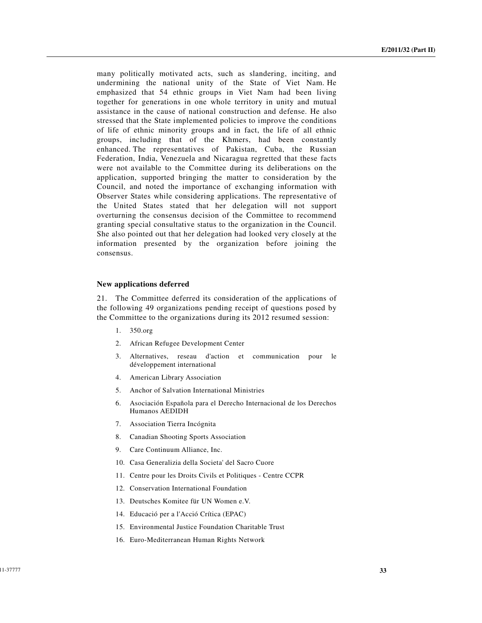many politically motivated acts, such as slandering, inciting, and undermining the national unity of the State of Viet Nam. He emphasized that 54 ethnic groups in Viet Nam had been living together for generations in one whole territory in unity and mutual assistance in the cause of national construction and defense. He also stressed that the State implemented policies to improve the conditions of life of ethnic minority groups and in fact, the life of all ethnic groups, including that of the Khmers, had been constantly enhanced. The representatives of Pakistan, Cuba, the Russian Federation, India, Venezuela and Nicaragua regretted that these facts were not available to the Committee during its deliberations on the application, supported bringing the matter to consideration by the Council, and noted the importance of exchanging information with Observer States while considering applications. The representative of the United States stated that her delegation will not support overturning the consensus decision of the Committee to recommend granting special consultative status to the organization in the Council. She also pointed out that her delegation had looked very closely at the information presented by the organization before joining the consensus.

#### **New applications deferred**

21. The Committee deferred its consideration of the applications of the following 49 organizations pending receipt of questions posed by the Committee to the organizations during its 2012 resumed session:

- 1. 350.org
- 2. African Refugee Development Center
- 3. Alternatives, reseau d'action et communication pour le développement international
- 4. American Library Association
- 5. Anchor of Salvation International Ministries
- 6. Asociación Española para el Derecho Internacional de los Derechos Humanos AEDIDH
- 7. Association Tierra Incógnita
- 8. Canadian Shooting Sports Association
- 9. Care Continuum Alliance, Inc.
- 10. Casa Generalizia della Societa' del Sacro Cuore
- 11. Centre pour les Droits Civils et Politiques Centre CCPR
- 12. Conservation International Foundation
- 13. Deutsches Komitee für UN Women e.V.
- 14. Educació per a l'Acció Crítica (EPAC)
- 15. Environmental Justice Foundation Charitable Trust
- 16. Euro-Mediterranean Human Rights Network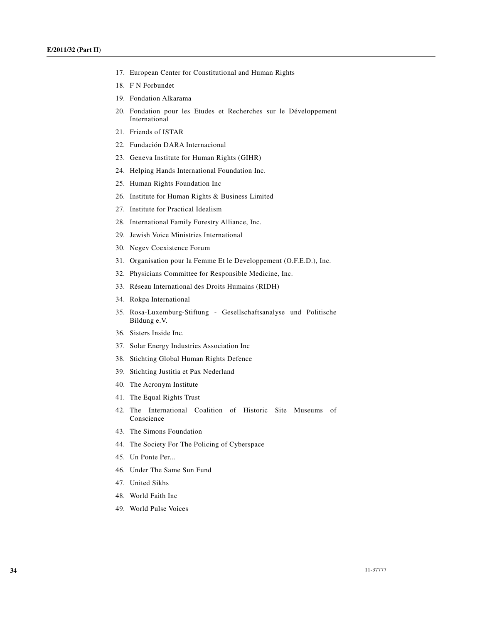- 17. European Center for Constitutional and Human Rights
- 18. F N Forbundet
- 19. Fondation Alkarama
- 20. Fondation pour les Etudes et Recherches sur le Développement International
- 21. Friends of ISTAR
- 22. Fundación DARA Internacional
- 23. Geneva Institute for Human Rights (GIHR)
- 24. Helping Hands International Foundation Inc.
- 25. Human Rights Foundation Inc
- 26. Institute for Human Rights & Business Limited
- 27. Institute for Practical Idealism
- 28. International Family Forestry Alliance, Inc.
- 29. Jewish Voice Ministries International
- 30. Negev Coexistence Forum
- 31. Organisation pour la Femme Et le Developpement (O.F.E.D.), Inc.
- 32. Physicians Committee for Responsible Medicine, Inc.
- 33. Réseau International des Droits Humains (RIDH)
- 34. Rokpa International
- 35. Rosa-Luxemburg-Stiftung Gesellschaftsanalyse und Politische Bildung e.V.
- 36. Sisters Inside Inc.
- 37. Solar Energy Industries Association Inc
- 38. Stichting Global Human Rights Defence
- 39. Stichting Justitia et Pax Nederland
- 40. The Acronym Institute
- 41. The Equal Rights Trust
- 42. The International Coalition of Historic Site Museums of Conscience
- 43. The Simons Foundation
- 44. The Society For The Policing of Cyberspace
- 45. Un Ponte Per...
- 46. Under The Same Sun Fund
- 47. United Sikhs
- 48. World Faith Inc
- 49. World Pulse Voices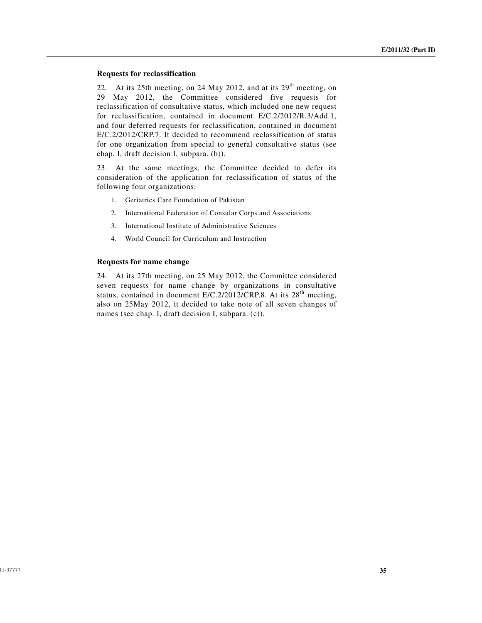## **Requests for reclassification**

22. At its 25th meeting, on 24 May 2012, and at its  $29<sup>th</sup>$  meeting, on 29 May 2012, the Committee considered five requests for reclassification of consultative status, which included one new request for reclassification, contained in document E/C.2/2012/R.3/Add.1, and four deferred requests for reclassification, contained in document E/C.2/2012/CRP.7. It decided to recommend reclassification of status for one organization from special to general consultative status (see chap. I, draft decision I, subpara. (b)).

23. At the same meetings, the Committee decided to defer its consideration of the application for reclassification of status of the following four organizations:

- 1. Geriatrics Care Foundation of Pakistan
- 2. International Federation of Consular Corps and Associations
- 3. International Institute of Administrative Sciences
- 4. World Council for Curriculum and Instruction

#### **Requests for name change**

24. At its 27th meeting, on 25 May 2012, the Committee considered seven requests for name change by organizations in consultative status, contained in document E/C.2/2012/CRP.8. At its 28<sup>th</sup> meeting, also on 25May 2012, it decided to take note of all seven changes of names (see chap. I, draft decision I, subpara. (c)).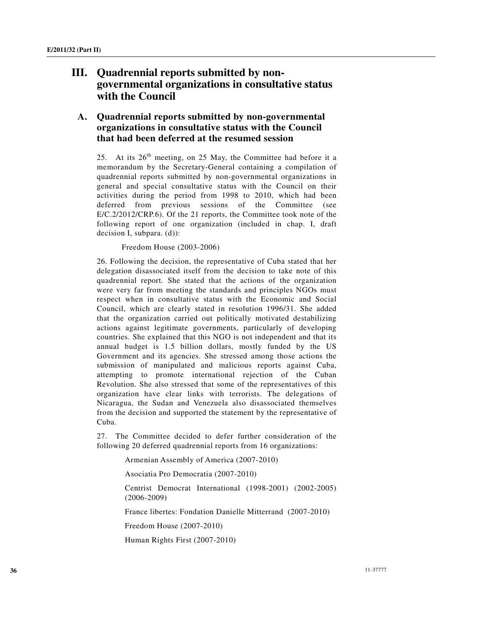# **III. Quadrennial reports submitted by nongovernmental organizations in consultative status with the Council**

## **A. Quadrennial reports submitted by non-governmental organizations in consultative status with the Council that had been deferred at the resumed session**

25. At its  $26<sup>th</sup>$  meeting, on 25 May, the Committee had before it a memorandum by the Secretary-General containing a compilation of quadrennial reports submitted by non-governmental organizations in general and special consultative status with the Council on their activities during the period from 1998 to 2010, which had been deferred from previous sessions of the Committee (see E/C.2/2012/CRP.6). Of the 21 reports, the Committee took note of the following report of one organization (included in chap. I, draft decision I, subpara. (d)):

## Freedom House (2003-2006)

26. Following the decision, the representative of Cuba stated that her delegation disassociated itself from the decision to take note of this quadrennial report. She stated that the actions of the organization were very far from meeting the standards and principles NGOs must respect when in consultative status with the Economic and Social Council, which are clearly stated in resolution 1996/31. She added that the organization carried out politically motivated destabilizing actions against legitimate governments, particularly of developing countries. She explained that this NGO is not independent and that its annual budget is 1.5 billion dollars, mostly funded by the US Government and its agencies. She stressed among those actions the submission of manipulated and malicious reports against Cuba, attempting to promote international rejection of the Cuban Revolution. She also stressed that some of the representatives of this organization have clear links with terrorists. The delegations of Nicaragua, the Sudan and Venezuela also disassociated themselves from the decision and supported the statement by the representative of Cuba.

27. The Committee decided to defer further consideration of the following 20 deferred quadrennial reports from 16 organizations:

Armenian Assembly of America (2007-2010)

Asociatia Pro Democratia (2007-2010)

Centrist Democrat International (1998-2001) (2002-2005) (2006-2009)

France libertes: Fondation Danielle Mitterrand (2007-2010)

Freedom House (2007-2010)

Human Rights First (2007-2010)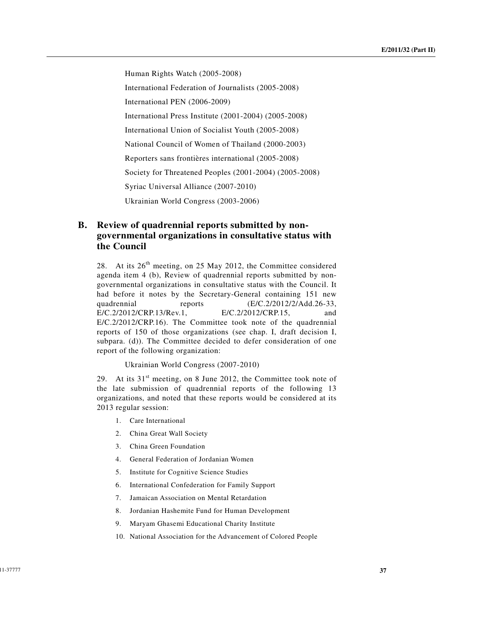Human Rights Watch (2005-2008) International Federation of Journalists (2005-2008) International PEN (2006-2009) International Press Institute (2001-2004) (2005-2008) International Union of Socialist Youth (2005-2008) National Council of Women of Thailand (2000-2003) Reporters sans frontières international (2005-2008) Society for Threatened Peoples (2001-2004) (2005-2008) Syriac Universal Alliance (2007-2010) Ukrainian World Congress (2003-2006)

## **B. Review of quadrennial reports submitted by nongovernmental organizations in consultative status with the Council**

28. At its  $26<sup>th</sup>$  meeting, on 25 May 2012, the Committee considered agenda item 4 (b), Review of quadrennial reports submitted by nongovernmental organizations in consultative status with the Council. It had before it notes by the Secretary-General containing 151 new quadrennial reports (E/C.2/2012/2/Add.26-33, E/C.2/2012/CRP.13/Rev.1, E/C.2/2012/CRP.15, and E/C.2/2012/CRP.16). The Committee took note of the quadrennial reports of 150 of those organizations (see chap. I, draft decision I, subpara. (d)). The Committee decided to defer consideration of one report of the following organization:

Ukrainian World Congress (2007-2010)

29. At its  $31<sup>st</sup>$  meeting, on 8 June 2012, the Committee took note of the late submission of quadrennial reports of the following 13 organizations, and noted that these reports would be considered at its 2013 regular session:

- 1. Care International
- 2. China Great Wall Society
- 3. China Green Foundation
- 4. General Federation of Jordanian Women
- 5. Institute for Cognitive Science Studies
- 6. International Confederation for Family Support
- 7. Jamaican Association on Mental Retardation
- 8. Jordanian Hashemite Fund for Human Development
- 9. Maryam Ghasemi Educational Charity Institute
- 10. National Association for the Advancement of Colored People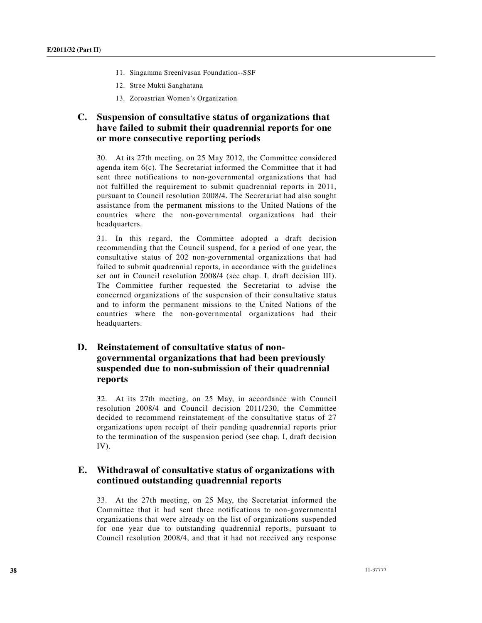- 11. Singamma Sreenivasan Foundation--SSF
- 12. Stree Mukti Sanghatana
- 13. Zoroastrian Women's Organization

## **C. Suspension of consultative status of organizations that have failed to submit their quadrennial reports for one or more consecutive reporting periods**

30. At its 27th meeting, on 25 May 2012, the Committee considered agenda item 6(c). The Secretariat informed the Committee that it had sent three notifications to non-governmental organizations that had not fulfilled the requirement to submit quadrennial reports in 2011, pursuant to Council resolution 2008/4. The Secretariat had also sought assistance from the permanent missions to the United Nations of the countries where the non-governmental organizations had their headquarters.

31. In this regard, the Committee adopted a draft decision recommending that the Council suspend, for a period of one year, the consultative status of 202 non-governmental organizations that had failed to submit quadrennial reports, in accordance with the guidelines set out in Council resolution 2008/4 (see chap. I, draft decision III). The Committee further requested the Secretariat to advise the concerned organizations of the suspension of their consultative status and to inform the permanent missions to the United Nations of the countries where the non-governmental organizations had their headquarters.

## **D. Reinstatement of consultative status of nongovernmental organizations that had been previously suspended due to non-submission of their quadrennial reports**

32. At its 27th meeting, on 25 May, in accordance with Council resolution 2008/4 and Council decision 2011/230, the Committee decided to recommend reinstatement of the consultative status of 27 organizations upon receipt of their pending quadrennial reports prior to the termination of the suspension period (see chap. I, draft decision IV).

## **E. Withdrawal of consultative status of organizations with continued outstanding quadrennial reports**

33. At the 27th meeting, on 25 May, the Secretariat informed the Committee that it had sent three notifications to non-governmental organizations that were already on the list of organizations suspended for one year due to outstanding quadrennial reports, pursuant to Council resolution 2008/4, and that it had not received any response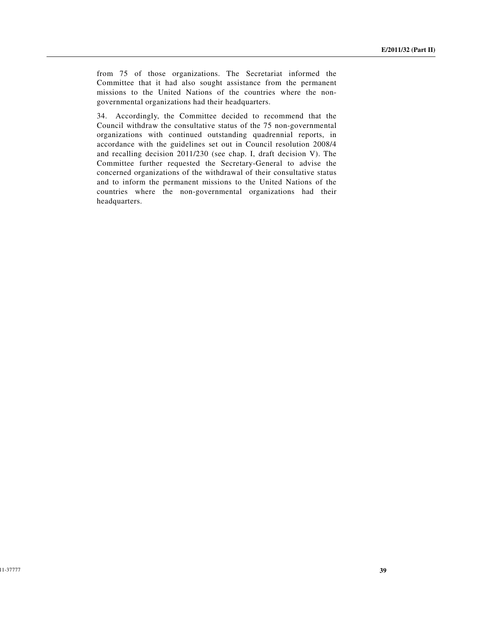from 75 of those organizations. The Secretariat informed the Committee that it had also sought assistance from the permanent missions to the United Nations of the countries where the nongovernmental organizations had their headquarters.

34. Accordingly, the Committee decided to recommend that the Council withdraw the consultative status of the 75 non-governmental organizations with continued outstanding quadrennial reports, in accordance with the guidelines set out in Council resolution 2008/4 and recalling decision 2011/230 (see chap. I, draft decision V). The Committee further requested the Secretary-General to advise the concerned organizations of the withdrawal of their consultative status and to inform the permanent missions to the United Nations of the countries where the non-governmental organizations had their headquarters.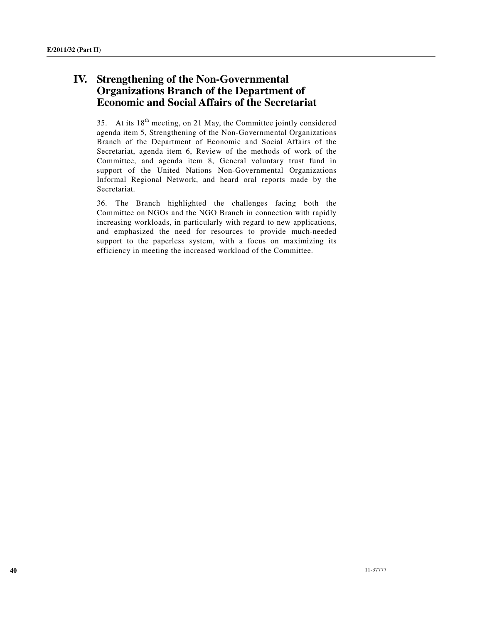# **IV. Strengthening of the Non-Governmental Organizations Branch of the Department of Economic and Social Affairs of the Secretariat**

35. At its  $18<sup>th</sup>$  meeting, on 21 May, the Committee jointly considered agenda item 5, Strengthening of the Non-Governmental Organizations Branch of the Department of Economic and Social Affairs of the Secretariat, agenda item 6, Review of the methods of work of the Committee, and agenda item 8, General voluntary trust fund in support of the United Nations Non-Governmental Organizations Informal Regional Network, and heard oral reports made by the Secretariat.

36. The Branch highlighted the challenges facing both the Committee on NGOs and the NGO Branch in connection with rapidly increasing workloads, in particularly with regard to new applications, and emphasized the need for resources to provide much-needed support to the paperless system, with a focus on maximizing its efficiency in meeting the increased workload of the Committee.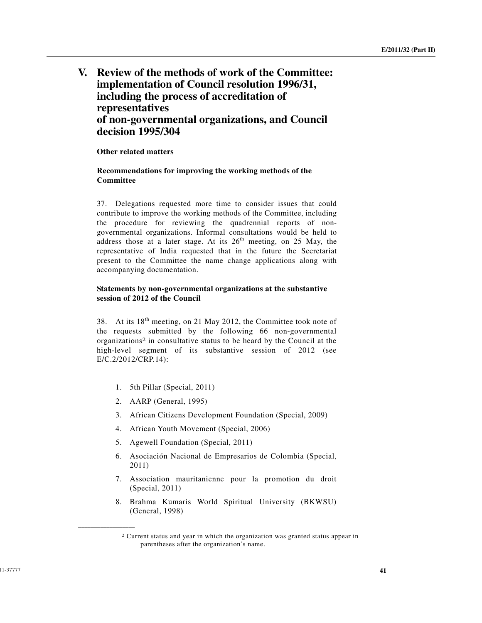# **V. Review of the methods of work of the Committee: implementation of Council resolution 1996/31, including the process of accreditation of representatives of non-governmental organizations, and Council decision 1995/304**

## **Other related matters**

## **Recommendations for improving the working methods of the Committee**

37. Delegations requested more time to consider issues that could contribute to improve the working methods of the Committee, including the procedure for reviewing the quadrennial reports of nongovernmental organizations. Informal consultations would be held to address those at a later stage. At its  $26<sup>th</sup>$  meeting, on 25 May, the representative of India requested that in the future the Secretariat present to the Committee the name change applications along with accompanying documentation.

## **Statements by non-governmental organizations at the substantive session of 2012 of the Council**

38. At its  $18<sup>th</sup>$  meeting, on 21 May 2012, the Committee took note of the requests submitted by the following 66 non-governmental organizations2 in consultative status to be heard by the Council at the high-level segment of its substantive session of 2012 (see E/C.2/2012/CRP.14):

- 1. 5th Pillar (Special, 2011)
- 2. AARP (General, 1995)

**\_\_\_\_\_\_\_\_\_\_\_\_\_\_\_\_\_\_** 

- 3. African Citizens Development Foundation (Special, 2009)
- 4. African Youth Movement (Special, 2006)
- 5. Agewell Foundation (Special, 2011)
- 6. Asociación Nacional de Empresarios de Colombia (Special, 2011)
- 7. Association mauritanienne pour la promotion du droit (Special, 2011)
- 8. Brahma Kumaris World Spiritual University (BKWSU) (General, 1998)

<sup>2</sup> Current status and year in which the organization was granted status appear in parentheses after the organization's name.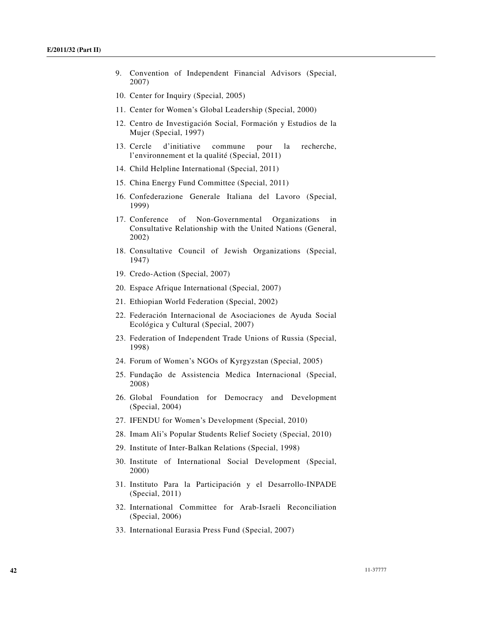- 9. Convention of Independent Financial Advisors (Special, 2007)
- 10. Center for Inquiry (Special, 2005)
- 11. Center for Women's Global Leadership (Special, 2000)
- 12. Centro de Investigación Social, Formación y Estudios de la Mujer (Special, 1997)
- 13. Cercle d'initiative commune pour la recherche, l'environnement et la qualité (Special, 2011)
- 14. Child Helpline International (Special, 2011)
- 15. China Energy Fund Committee (Special, 2011)
- 16. Confederazione Generale Italiana del Lavoro (Special, 1999)
- 17. Conference of Non-Governmental Organizations in Consultative Relationship with the United Nations (General, 2002)
- 18. Consultative Council of Jewish Organizations (Special, 1947)
- 19. Credo-Action (Special, 2007)
- 20. Espace Afrique International (Special, 2007)
- 21. Ethiopian World Federation (Special, 2002)
- 22. Federación Internacional de Asociaciones de Ayuda Social Ecológica y Cultural (Special, 2007)
- 23. Federation of Independent Trade Unions of Russia (Special, 1998)
- 24. Forum of Women's NGOs of Kyrgyzstan (Special, 2005)
- 25. Fundação de Assistencia Medica Internacional (Special, 2008)
- 26. Global Foundation for Democracy and Development (Special, 2004)
- 27. IFENDU for Women's Development (Special, 2010)
- 28. Imam Ali's Popular Students Relief Society (Special, 2010)
- 29. Institute of Inter-Balkan Relations (Special, 1998)
- 30. Institute of International Social Development (Special, 2000)
- 31. Instituto Para la Participación y el Desarrollo-INPADE (Special, 2011)
- 32. International Committee for Arab-Israeli Reconciliation (Special, 2006)
- 33. International Eurasia Press Fund (Special, 2007)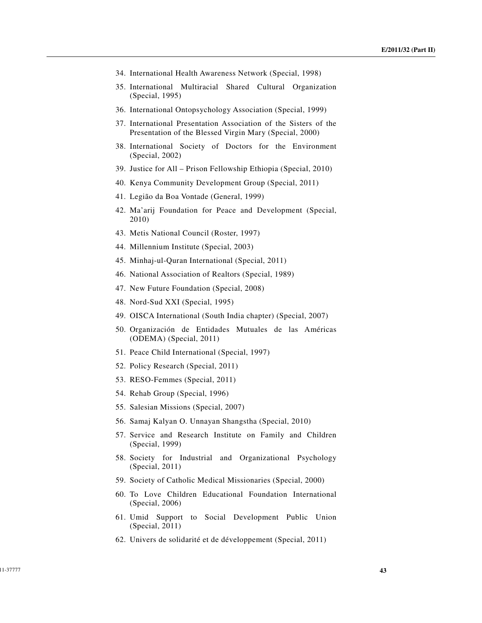- 34. International Health Awareness Network (Special, 1998)
- 35. International Multiracial Shared Cultural Organization (Special, 1995)
- 36. International Ontopsychology Association (Special, 1999)
- 37. International Presentation Association of the Sisters of the Presentation of the Blessed Virgin Mary (Special, 2000)
- 38. International Society of Doctors for the Environment (Special, 2002)
- 39. Justice for All Prison Fellowship Ethiopia (Special, 2010)
- 40. Kenya Community Development Group (Special, 2011)
- 41. Legião da Boa Vontade (General, 1999)
- 42. Ma'arij Foundation for Peace and Development (Special, 2010)
- 43. Metis National Council (Roster, 1997)
- 44. Millennium Institute (Special, 2003)
- 45. Minhaj-ul-Quran International (Special, 2011)
- 46. National Association of Realtors (Special, 1989)
- 47. New Future Foundation (Special, 2008)
- 48. Nord-Sud XXI (Special, 1995)
- 49. OISCA International (South India chapter) (Special, 2007)
- 50. Organización de Entidades Mutuales de las Américas (ODEMA) (Special, 2011)
- 51. Peace Child International (Special, 1997)
- 52. Policy Research (Special, 2011)
- 53. RESO-Femmes (Special, 2011)
- 54. Rehab Group (Special, 1996)
- 55. Salesian Missions (Special, 2007)
- 56. Samaj Kalyan O. Unnayan Shangstha (Special, 2010)
- 57. Service and Research Institute on Family and Children (Special, 1999)
- 58. Society for Industrial and Organizational Psychology (Special, 2011)
- 59. Society of Catholic Medical Missionaries (Special, 2000)
- 60. To Love Children Educational Foundation International (Special, 2006)
- 61. Umid Support to Social Development Public Union (Special, 2011)
- 62. Univers de solidarité et de développement (Special, 2011)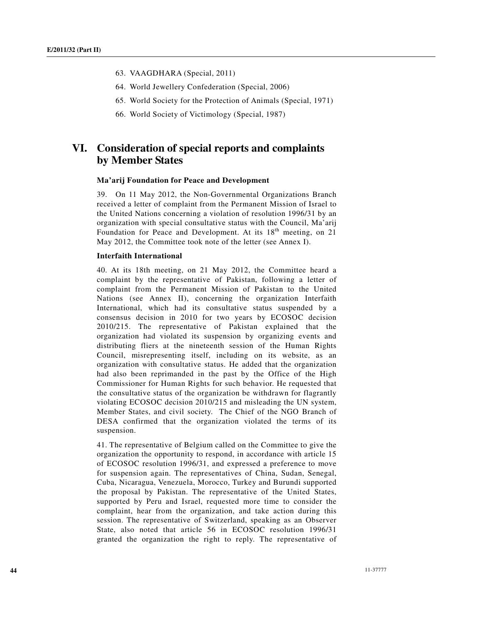- 63. VAAGDHARA (Special, 2011)
- 64. World Jewellery Confederation (Special, 2006)
- 65. World Society for the Protection of Animals (Special, 1971)
- 66. World Society of Victimology (Special, 1987)

# **VI. Consideration of special reports and complaints by Member States**

#### **Ma'arij Foundation for Peace and Development**

39. On 11 May 2012, the Non-Governmental Organizations Branch received a letter of complaint from the Permanent Mission of Israel to the United Nations concerning a violation of resolution 1996/31 by an organization with special consultative status with the Council, Ma'arij Foundation for Peace and Development. At its  $18<sup>th</sup>$  meeting, on 21 May 2012, the Committee took note of the letter (see Annex I).

### **Interfaith International**

40. At its 18th meeting, on 21 May 2012, the Committee heard a complaint by the representative of Pakistan, following a letter of complaint from the Permanent Mission of Pakistan to the United Nations (see Annex II), concerning the organization Interfaith International, which had its consultative status suspended by a consensus decision in 2010 for two years by ECOSOC decision 2010/215. The representative of Pakistan explained that the organization had violated its suspension by organizing events and distributing fliers at the nineteenth session of the Human Rights Council, misrepresenting itself, including on its website, as an organization with consultative status. He added that the organization had also been reprimanded in the past by the Office of the High Commissioner for Human Rights for such behavior. He requested that the consultative status of the organization be withdrawn for flagrantly violating ECOSOC decision 2010/215 and misleading the UN system, Member States, and civil society. The Chief of the NGO Branch of DESA confirmed that the organization violated the terms of its suspension.

41. The representative of Belgium called on the Committee to give the organization the opportunity to respond, in accordance with article 15 of ECOSOC resolution 1996/31, and expressed a preference to move for suspension again. The representatives of China, Sudan, Senegal, Cuba, Nicaragua, Venezuela, Morocco, Turkey and Burundi supported the proposal by Pakistan. The representative of the United States, supported by Peru and Israel, requested more time to consider the complaint, hear from the organization, and take action during this session. The representative of Switzerland, speaking as an Observer State, also noted that article 56 in ECOSOC resolution 1996/31 granted the organization the right to reply. The representative of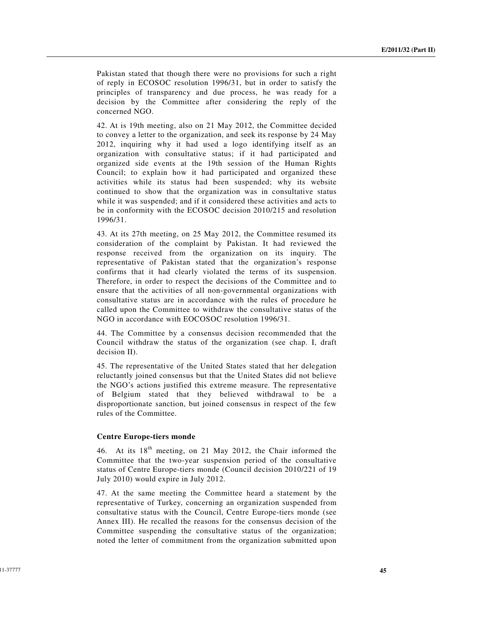Pakistan stated that though there were no provisions for such a right of reply in ECOSOC resolution 1996/31, but in order to satisfy the principles of transparency and due process, he was ready for a decision by the Committee after considering the reply of the concerned NGO.

42. At is 19th meeting, also on 21 May 2012, the Committee decided to convey a letter to the organization, and seek its response by 24 May 2012, inquiring why it had used a logo identifying itself as an organization with consultative status; if it had participated and organized side events at the 19th session of the Human Rights Council; to explain how it had participated and organized these activities while its status had been suspended; why its website continued to show that the organization was in consultative status while it was suspended; and if it considered these activities and acts to be in conformity with the ECOSOC decision 2010/215 and resolution 1996/31.

43. At its 27th meeting, on 25 May 2012, the Committee resumed its consideration of the complaint by Pakistan. It had reviewed the response received from the organization on its inquiry. The representative of Pakistan stated that the organization's response confirms that it had clearly violated the terms of its suspension. Therefore, in order to respect the decisions of the Committee and to ensure that the activities of all non-governmental organizations with consultative status are in accordance with the rules of procedure he called upon the Committee to withdraw the consultative status of the NGO in accordance with EOCOSOC resolution 1996/31.

44. The Committee by a consensus decision recommended that the Council withdraw the status of the organization (see chap. I, draft decision II).

45. The representative of the United States stated that her delegation reluctantly joined consensus but that the United States did not believe the NGO's actions justified this extreme measure. The representative of Belgium stated that they believed withdrawal to be a disproportionate sanction, but joined consensus in respect of the few rules of the Committee.

### **Centre Europe-tiers monde**

46. At its  $18<sup>th</sup>$  meeting, on 21 May 2012, the Chair informed the Committee that the two-year suspension period of the consultative status of Centre Europe-tiers monde (Council decision 2010/221 of 19 July 2010) would expire in July 2012.

47. At the same meeting the Committee heard a statement by the representative of Turkey, concerning an organization suspended from consultative status with the Council, Centre Europe-tiers monde (see Annex III). He recalled the reasons for the consensus decision of the Committee suspending the consultative status of the organization; noted the letter of commitment from the organization submitted upon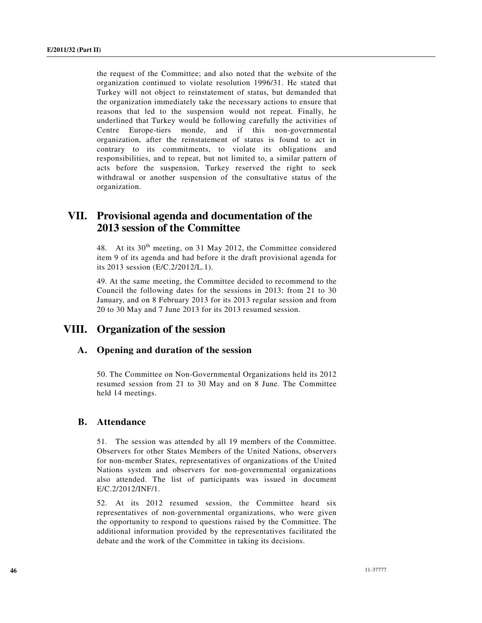the request of the Committee; and also noted that the website of the organization continued to violate resolution 1996/31. He stated that Turkey will not object to reinstatement of status, but demanded that the organization immediately take the necessary actions to ensure that reasons that led to the suspension would not repeat. Finally, he underlined that Turkey would be following carefully the activities of Centre Europe-tiers monde, and if this non-governmental organization, after the reinstatement of status is found to act in contrary to its commitments, to violate its obligations and responsibilities, and to repeat, but not limited to, a similar pattern of acts before the suspension, Turkey reserved the right to seek withdrawal or another suspension of the consultative status of the organization.

# **VII. Provisional agenda and documentation of the 2013 session of the Committee**

48. At its  $30<sup>th</sup>$  meeting, on 31 May 2012, the Committee considered item 9 of its agenda and had before it the draft provisional agenda for its 2013 session (E/C.2/2012/L.1).

49. At the same meeting, the Committee decided to recommend to the Council the following dates for the sessions in 2013: from 21 to 30 January, and on 8 February 2013 for its 2013 regular session and from 20 to 30 May and 7 June 2013 for its 2013 resumed session.

## **VIII. Organization of the session**

## **A. Opening and duration of the session**

50. The Committee on Non-Governmental Organizations held its 2012 resumed session from 21 to 30 May and on 8 June. The Committee held 14 meetings.

## **B. Attendance**

51. The session was attended by all 19 members of the Committee. Observers for other States Members of the United Nations, observers for non-member States, representatives of organizations of the United Nations system and observers for non-governmental organizations also attended. The list of participants was issued in document E/C.2/2012/INF/1.

52. At its 2012 resumed session, the Committee heard six representatives of non-governmental organizations, who were given the opportunity to respond to questions raised by the Committee. The additional information provided by the representatives facilitated the debate and the work of the Committee in taking its decisions.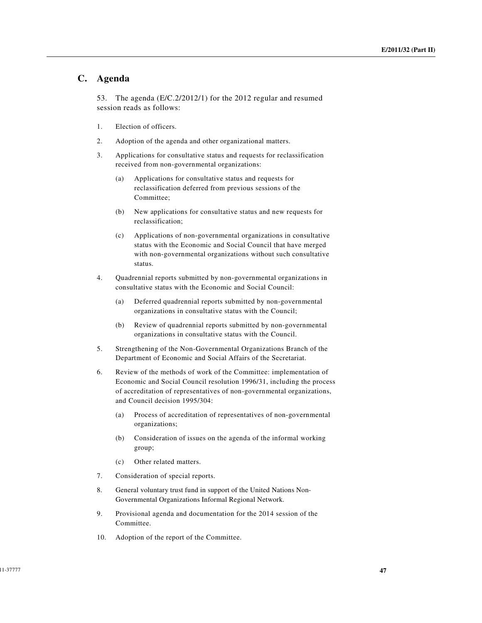## **C. Agenda**

53. The agenda (E/C.2/2012/1) for the 2012 regular and resumed session reads as follows:

- 1. Election of officers.
- 2. Adoption of the agenda and other organizational matters.
- 3. Applications for consultative status and requests for reclassification received from non-governmental organizations:
	- (a) Applications for consultative status and requests for reclassification deferred from previous sessions of the Committee;
	- (b) New applications for consultative status and new requests for reclassification;
	- (c) Applications of non-governmental organizations in consultative status with the Economic and Social Council that have merged with non-governmental organizations without such consultative status.
- 4. Quadrennial reports submitted by non-governmental organizations in consultative status with the Economic and Social Council:
	- (a) Deferred quadrennial reports submitted by non-governmental organizations in consultative status with the Council;
	- (b) Review of quadrennial reports submitted by non-governmental organizations in consultative status with the Council.
- 5. Strengthening of the Non-Governmental Organizations Branch of the Department of Economic and Social Affairs of the Secretariat.
- 6. Review of the methods of work of the Committee: implementation of Economic and Social Council resolution 1996/31, including the process of accreditation of representatives of non-governmental organizations, and Council decision 1995/304:
	- (a) Process of accreditation of representatives of non-governmental organizations;
	- (b) Consideration of issues on the agenda of the informal working group;
	- (c) Other related matters.
- 7. Consideration of special reports.
- 8. General voluntary trust fund in support of the United Nations Non-Governmental Organizations Informal Regional Network.
- 9. Provisional agenda and documentation for the 2014 session of the Committee.
- 10. Adoption of the report of the Committee.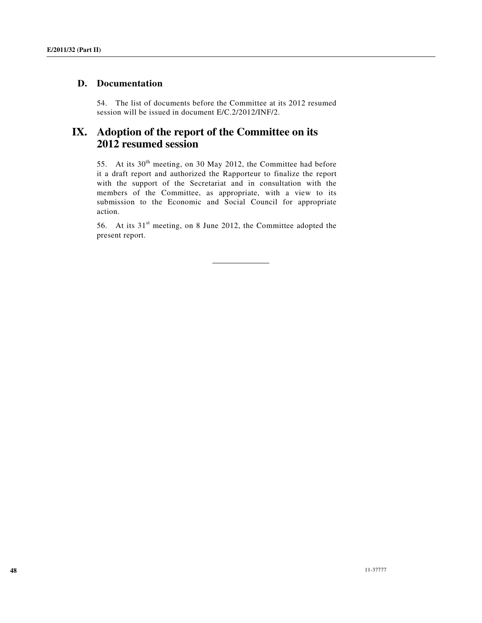## **D. Documentation**

54. The list of documents before the Committee at its 2012 resumed session will be issued in document E/C.2/2012/INF/2.

# **IX. Adoption of the report of the Committee on its 2012 resumed session**

55. At its 30<sup>th</sup> meeting, on 30 May 2012, the Committee had before it a draft report and authorized the Rapporteur to finalize the report with the support of the Secretariat and in consultation with the members of the Committee, as appropriate, with a view to its submission to the Economic and Social Council for appropriate action.

56. At its  $31<sup>st</sup>$  meeting, on 8 June 2012, the Committee adopted the present report.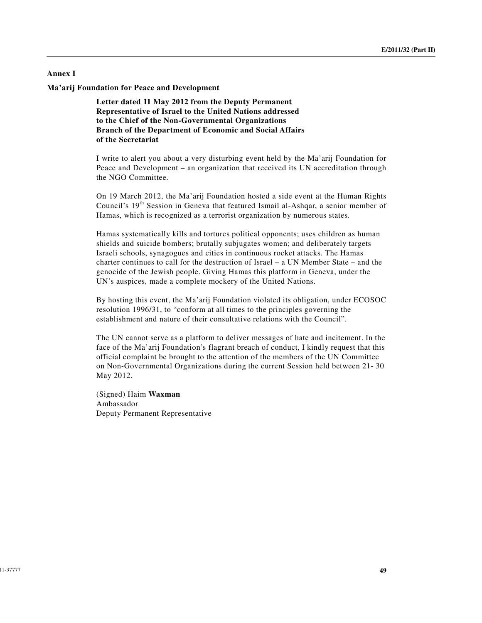## **Annex I**

**Ma'arij Foundation for Peace and Development** 

**Letter dated 11 May 2012 from the Deputy Permanent Representative of Israel to the United Nations addressed to the Chief of the Non-Governmental Organizations Branch of the Department of Economic and Social Affairs of the Secretariat** 

I write to alert you about a very disturbing event held by the Ma'arij Foundation for Peace and Development – an organization that received its UN accreditation through the NGO Committee.

On 19 March 2012, the Ma'arij Foundation hosted a side event at the Human Rights Council's 19th Session in Geneva that featured Ismail al-Ashqar, a senior member of Hamas, which is recognized as a terrorist organization by numerous states.

Hamas systematically kills and tortures political opponents; uses children as human shields and suicide bombers; brutally subjugates women; and deliberately targets Israeli schools, synagogues and cities in continuous rocket attacks. The Hamas charter continues to call for the destruction of Israel – a UN Member State – and the genocide of the Jewish people. Giving Hamas this platform in Geneva, under the UN's auspices, made a complete mockery of the United Nations.

By hosting this event, the Ma'arij Foundation violated its obligation, under ECOSOC resolution 1996/31, to "conform at all times to the principles governing the establishment and nature of their consultative relations with the Council".

The UN cannot serve as a platform to deliver messages of hate and incitement. In the face of the Ma'arij Foundation's flagrant breach of conduct, I kindly request that this official complaint be brought to the attention of the members of the UN Committee on Non-Governmental Organizations during the current Session held between 21- 30 May 2012.

(Signed) Haim **Waxman**  Ambassador Deputy Permanent Representative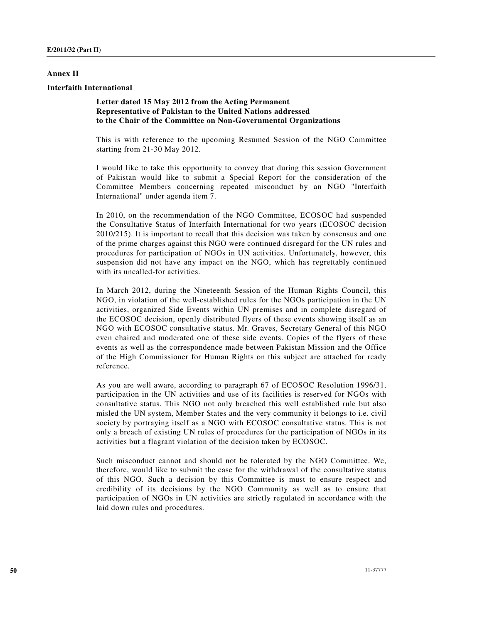### **Annex II**

### **Interfaith International**

## **Letter dated 15 May 2012 from the Acting Permanent Representative of Pakistan to the United Nations addressed to the Chair of the Committee on Non-Governmental Organizations**

This is with reference to the upcoming Resumed Session of the NGO Committee starting from 21-30 May 2012.

I would like to take this opportunity to convey that during this session Government of Pakistan would like to submit a Special Report for the consideration of the Committee Members concerning repeated misconduct by an NGO "Interfaith International" under agenda item 7.

In 2010, on the recommendation of the NGO Committee, ECOSOC had suspended the Consultative Status of Interfaith International for two years (ECOSOC decision 2010/215). It is important to recall that this decision was taken by consensus and one of the prime charges against this NGO were continued disregard for the UN rules and procedures for participation of NGOs in UN activities. Unfortunately, however, this suspension did not have any impact on the NGO, which has regrettably continued with its uncalled-for activities.

In March 2012, during the Nineteenth Session of the Human Rights Council, this NGO, in violation of the well-established rules for the NGOs participation in the UN activities, organized Side Events within UN premises and in complete disregard of the ECOSOC decision, openly distributed flyers of these events showing itself as an NGO with ECOSOC consultative status. Mr. Graves, Secretary General of this NGO even chaired and moderated one of these side events. Copies of the flyers of these events as well as the correspondence made between Pakistan Mission and the Office of the High Commissioner for Human Rights on this subject are attached for ready reference.

As you are well aware, according to paragraph 67 of ECOSOC Resolution 1996/31, participation in the UN activities and use of its facilities is reserved for NGOs with consultative status. This NGO not only breached this well established rule but also misled the UN system, Member States and the very community it belongs to i.e. civil society by portraying itself as a NGO with ECOSOC consultative status. This is not only a breach of existing UN rules of procedures for the participation of NGOs in its activities but a flagrant violation of the decision taken by ECOSOC.

Such misconduct cannot and should not be tolerated by the NGO Committee. We, therefore, would like to submit the case for the withdrawal of the consultative status of this NGO. Such a decision by this Committee is must to ensure respect and credibility of its decisions by the NGO Community as well as to ensure that participation of NGOs in UN activities are strictly regulated in accordance with the laid down rules and procedures.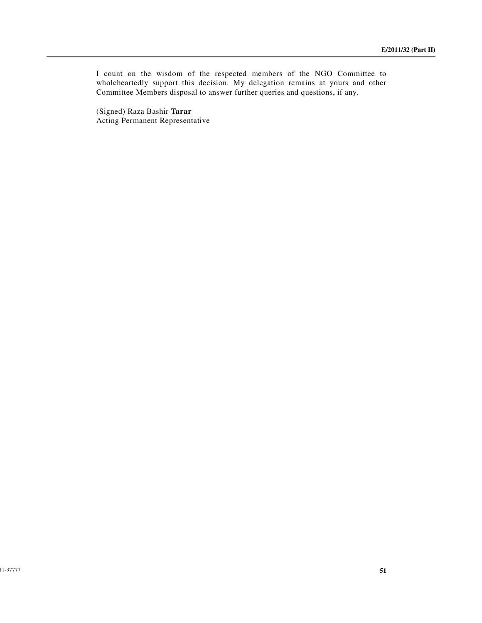I count on the wisdom of the respected members of the NGO Committee to wholeheartedly support this decision. My delegation remains at yours and other Committee Members disposal to answer further queries and questions, if any.

(Signed) Raza Bashir **Tarar**  Acting Permanent Representative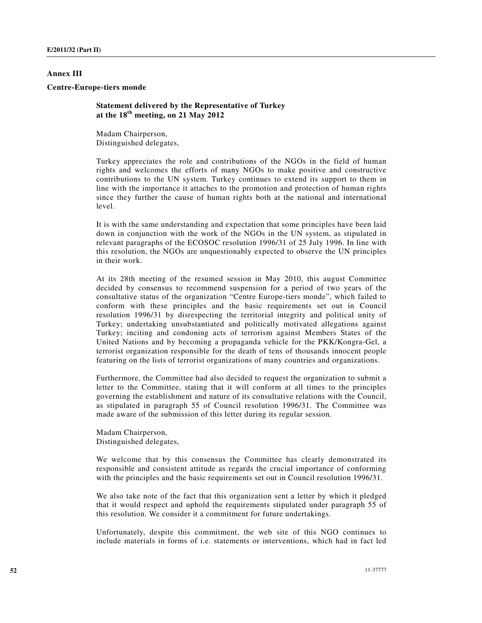## **Annex III**

#### **Centre-Europe-tiers monde**

**Statement delivered by the Representative of Turkey at the 18th meeting, on 21 May 2012**

Madam Chairperson, Distinguished delegates,

Turkey appreciates the role and contributions of the NGOs in the field of human rights and welcomes the efforts of many NGOs to make positive and constructive contributions to the UN system. Turkey continues to extend its support to them in line with the importance it attaches to the promotion and protection of human rights since they further the cause of human rights both at the national and international level.

It is with the same understanding and expectation that some principles have been laid down in conjunction with the work of the NGOs in the UN system, as stipulated in relevant paragraphs of the ECOSOC resolution 1996/31 of 25 July 1996. In line with this resolution, the NGOs are unquestionably expected to observe the UN principles in their work.

At its 28th meeting of the resumed session in May 2010, this august Committee decided by consensus to recommend suspension for a period of two years of the consultative status of the organization "Centre Europe-tiers monde", which failed to conform with these principles and the basic requirements set out in Council resolution 1996/31 by disrespecting the territorial integrity and political unity of Turkey; undertaking unsubstantiated and politically motivated allegations against Turkey; inciting and condoning acts of terrorism against Members States of the United Nations and by becoming a propaganda vehicle for the PKK/Kongra-Gel, a terrorist organization responsible for the death of tens of thousands innocent people featuring on the lists of terrorist organizations of many countries and organizations.

Furthermore, the Committee had also decided to request the organization to submit a letter to the Committee, stating that it will conform at all times to the principles governing the establishment and nature of its consultative relations with the Council, as stipulated in paragraph 55 of Council resolution 1996/31. The Committee was made aware of the submission of this letter during its regular session.

Madam Chairperson, Distinguished delegates,

We welcome that by this consensus the Committee has clearly demonstrated its responsible and consistent attitude as regards the crucial importance of conforming with the principles and the basic requirements set out in Council resolution 1996/31.

We also take note of the fact that this organization sent a letter by which it pledged that it would respect and uphold the requirements stipulated under paragraph 55 of this resolution. We consider it a commitment for future undertakings.

Unfortunately, despite this commitment, the web site of this NGO continues to include materials in forms of i.e. statements or interventions, which had in fact led